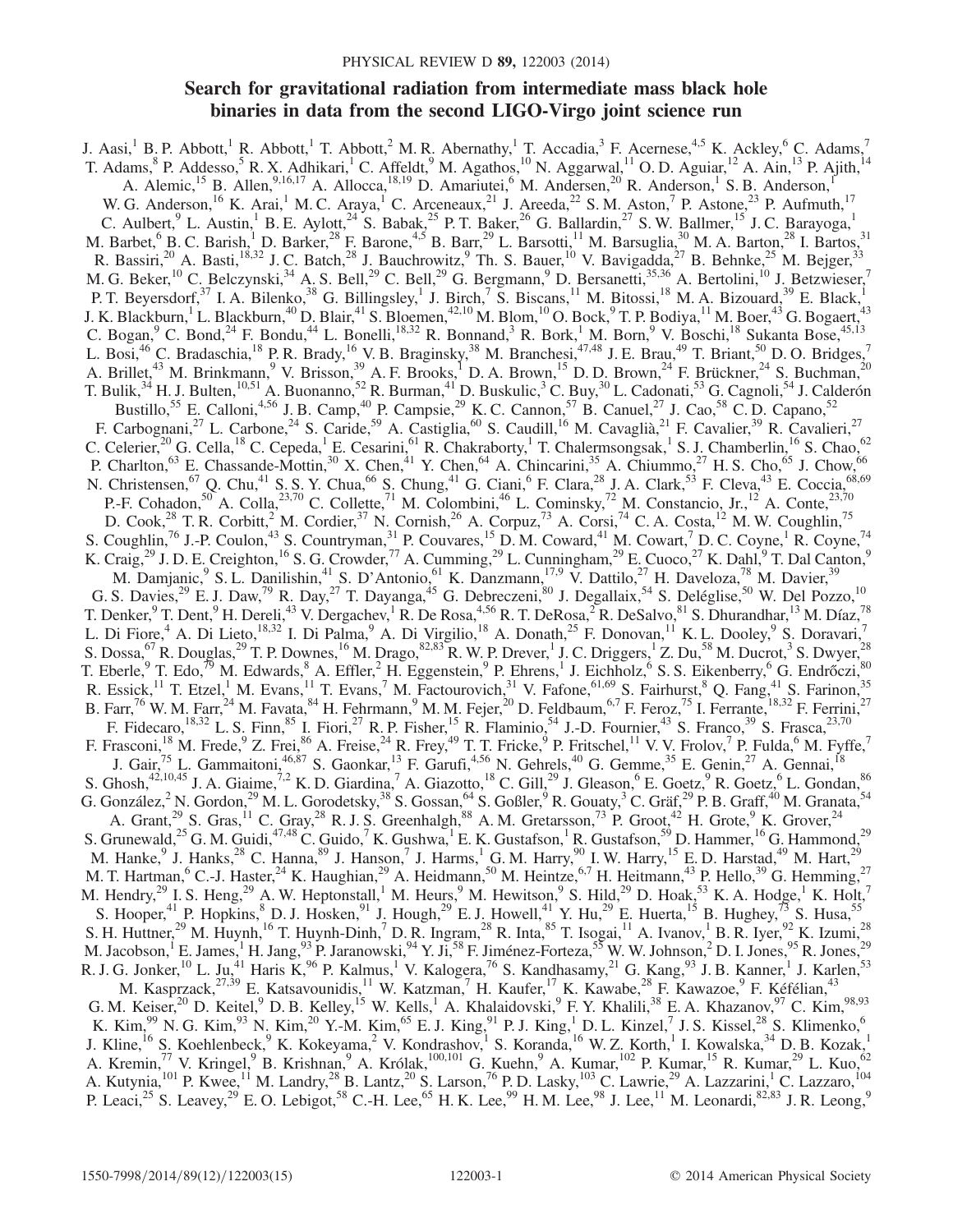# Search for gravitational radiation from intermediate mass black hole binaries in data from the second LIGO-Virgo joint science run

J. Aasi,<sup>1</sup> B. P. Abbott,<sup>1</sup> R. Abbott,<sup>1</sup> T. Abbott,<sup>2</sup> M. R. Abernathy,<sup>1</sup> T. Accadia,<sup>3</sup> F. Acernese,<sup>4,5</sup> K. Ackley,<sup>6</sup> C. Adams,<sup>7</sup> T. Adams,  $8$  P. Addesso,  $5$  R. X. Adhikari,  $1$  C. Affeldt,  $9$  M. Agathos,  $10$  N. Aggarwal,  $11$  O. D. Aguiar,  $12$  A. Ain,  $13$  P. Ajith,  $14$ A. Alemic,<sup>15</sup> B. Allen,<sup>9,16,17</sup> A. Allocca,<sup>18,19</sup> D. Amariutei,<sup>6</sup> M. Andersen,<sup>20</sup> R. Anderson,<sup>1</sup> S. B. Anderson,<sup>1</sup> W. G. Anderson, <sup>16</sup> K. Arai,<sup>1</sup> M. C. Araya,<sup>1</sup> C. Arceneaux, <sup>21</sup> J. Areeda, <sup>22</sup> S. M. Aston,<sup>7</sup> P. Astone, <sup>23</sup> P. Aufmuth, <sup>17</sup> C. Aulbert, <sup>9</sup> L. Austin,<sup>1</sup> B. E. Aylott,<sup>24</sup> S. Babak,<sup>25</sup> P. T. Baker,<sup>26</sup> G. Ballardin,<sup>27</sup> S. W. Ballmer,<sup>15</sup> J. C. Barayoga,<sup>1</sup> M. Barbet,  $6$  B. C. Barish,  $1$  D. Barker,  $28$  F. Barone,  $4.5$  B. Barr,  $29$  L. Barsotti,  $11$  M. Barsuglia,  $30$  M. A. Barton,  $28$  I. Bartos,  $31$ R. Bassiri,<sup>20</sup> A. Basti,<sup>18,32</sup> J. C. Batch,<sup>28</sup> J. Bauchrowitz,<sup>9</sup> Th. S. Bauer,<sup>10</sup> V. Bavigadda,<sup>27</sup> B. Behnke,<sup>25</sup> M. Bejger,<sup>33</sup> M. G. Beker,<sup>10</sup> C. Belczynski,<sup>34</sup> A. S. Bell,<sup>29</sup> C. Bell,<sup>29</sup> G. Bergmann,<sup>9</sup> D. Bersanetti,<sup>35,36</sup> A. Bertolini,<sup>10</sup> J. Betzwieser,<sup>7</sup> P. T. Beyersdorf,<sup>37</sup> I. A. Bilenko,<sup>38</sup> G. Billingsley,<sup>1</sup> J. Birch,<sup>7</sup> S. Biscans,<sup>11</sup> M. Bitossi,<sup>18</sup> M. A. Bizouard,<sup>39</sup> E. Black,<sup>1</sup> J. K. Blackburn,<sup>1</sup> L. Blackburn,<sup>40</sup> D. Blair,<sup>41</sup> S. Bloemen,<sup>42,10</sup> M. Blom,<sup>10</sup> O. Bock,<sup>9</sup> T. P. Bodiya,<sup>11</sup> M. Boer,<sup>43</sup> G. Bogaert,<sup>43</sup> C. Bogan,  $^9$  C. Bond,  $^{24}$  F. Bondu,  $^{44}$  L. Bonelli,  $^{18,32}$  R. Bonnand,  $^3$  R. Bork,  $^1$  M. Born,  $^9$  V. Boschi,  $^{18}$  Sukanta Bose,  $^{45,13}$ L. Bosi,<sup>46</sup> C. Bradaschia,<sup>18</sup> P. R. Brady,<sup>16</sup> V. B. Braginsky,<sup>38</sup> M. Branchesi,<sup>47,48</sup> J. E. Brau,<sup>49</sup> T. Briant,<sup>50</sup> D. O. Bridges,<sup>7</sup> A. Brillet,<sup>43</sup> M. Brinkmann,<sup>9</sup> V. Brisson,<sup>39</sup> A. F. Brooks,<sup>1</sup> D. A. Brown,<sup>15</sup> D. D. Brown,<sup>24</sup> F. Brückner,<sup>24</sup> S. Buchman,<sup>20</sup> T. Bulik,<sup>34</sup> H. J. Bulten,<sup>10,51</sup> A. Buonanno,<sup>52</sup> R. Burman,<sup>41</sup> D. Buskulic,<sup>3</sup> C. Buy,<sup>30</sup> L. Cadonati,<sup>53</sup> G. Cagnoli,<sup>54</sup> J. Calderón Bustillo,<sup>55</sup> E. Calloni,<sup>4,56</sup> J. B. Camp,<sup>40</sup> P. Campsie,<sup>29</sup> K. C. Cannon,<sup>57</sup> B. Canuel,<sup>27</sup> J. Cao,<sup>58</sup> C. D. Capano,<sup>52</sup> F. Carbognani,<sup>27</sup> L. Carbone,<sup>24</sup> S. Caride,<sup>59</sup> A. Castiglia,<sup>60</sup> S. Caudill,<sup>16</sup> M. Cavaglià,<sup>21</sup> F. Cavalier,<sup>39</sup> R. Cavalieri,<sup>27</sup> C. Celerier,<sup>20</sup> G. Cella,<sup>18</sup> C. Cepeda,<sup>1</sup> E. Cesarini,<sup>61</sup> R. Chakraborty,<sup>1</sup> T. Chalermsongsak,<sup>1</sup> S. J. Chamberlin,<sup>16</sup> S. Chao,<sup>62</sup> P. Charlton,<sup>63</sup> E. Chassande-Mottin,<sup>30</sup> X. Chen,<sup>41</sup> Y. Chen,<sup>64</sup> A. Chincarini,<sup>35</sup> A. Chiummo,<sup>27</sup> H. S. Cho,<sup>65</sup> J. Chow,<sup>66</sup> N. Christensen,<sup>67</sup> Q. Chu,<sup>41</sup> S. S. Y. Chua,<sup>66</sup> S. Chung,<sup>41</sup> G. Ciani,<sup>6</sup> F. Clara,<sup>28</sup> J. A. Clark,<sup>53</sup> F. Cleva,<sup>43</sup> E. Coccia,<sup>68,69</sup> P.-F. Cohadon,<sup>50</sup> A. Colla,<sup>23,70</sup> C. Collette,<sup>71</sup> M. Colombini,<sup>46</sup> L. Cominsky,<sup>72</sup> M. Constancio, Jr.,<sup>12</sup> A. Conte,<sup>23,70</sup> D. Cook,<sup>28</sup> T. R. Corbitt,<sup>2</sup> M. Cordier,<sup>37</sup> N. Cornish,<sup>26</sup> A. Corpuz,<sup>73</sup> A. Corsi,<sup>74</sup> C. A. Costa,<sup>12</sup> M. W. Coughlin,<sup>75</sup> S. Coughlin,<sup>76</sup> J.-P. Coulon,<sup>43</sup> S. Countryman,<sup>31</sup> P. Couvares,<sup>15</sup> D.M. Coward,<sup>41</sup> M. Cowart,<sup>7</sup> D.C. Coyne,<sup>1</sup> R. Coyne,<sup>74</sup> K. Craig,<sup>29</sup> J. D. E. Creighton,<sup>16</sup> S. G. Crowder,<sup>77</sup> A. Cumming,<sup>29</sup> L. Cunningham,<sup>29</sup> E. Cuoco,<sup>27</sup> K. Dahl,<sup>9</sup> T. Dal Canton,<sup>9</sup> M. Damjanic,<sup>9</sup> S. L. Danilishin,<sup>41</sup> S. D'Antonio,<sup>61</sup> K. Danzmann,<sup>17,9</sup> V. Dattilo,<sup>27</sup> H. Daveloza,<sup>78</sup> M. Davier,<sup>39</sup> G. S. Davies,  $2^9$  E. J. Daw,  $7^9$  R. Day,  $2^7$  T. Dayanga,  $4^5$  G. Debreczeni,  $8^0$  J. Degallaix,  $5^4$  S. Deléglise,  $5^0$  W. Del Pozzo,  $1^0$ T. Denker,  $9$  T. Dent,  $9$  H. Dereli,  $43$  V. Dergachev,  $1$  R. De Rosa,  $4,56$  R. T. DeRosa,  $2$  R. DeSalvo,  $81$  S. Dhurandhar,  $13$  M. Díaz,  $78$ L. Di Fiore,<sup>4</sup> A. Di Lieto,<sup>18,32</sup> I. Di Palma,<sup>9</sup> A. Di Virgilio,<sup>18</sup> A. Donath,<sup>25</sup> F. Donovan,<sup>11</sup> K. L. Dooley,<sup>9</sup> S. Doravari,<sup>7</sup> S. Dossa,  $^{67}$  R. Douglas,  $^{29}$  T. P. Downes,  $^{16}$  M. Drago,  $^{82,83}$  R. W. P. Drever, <sup>1</sup> J. C. Driggers,  $^{1}$  Z. Du,  $^{58}$  M. Ducrot,  $^{3}$  S. Dwyer,  $^{28}$ T. Eberle,  $9$  T. Edo,  $\frac{79}{10}$  M. Edwards,  $8$  A. Effler,  $2$  H. Eggenstein,  $9$  P. Ehrens,  $1$  J. Eichholz,  $6$  S. S. Eikenberry,  $6$  G. Endrőczi,  $80$ R. Essick,<sup>11</sup> T. Etzel,<sup>1</sup> M. Evans,<sup>11</sup> T. Evans,<sup>7</sup> M. Factourovich,<sup>31</sup> V. Fafone,<sup>61,69</sup> S. Fairhurst,<sup>8</sup> Q. Fang,<sup>41</sup> S. Farinon,<sup>35</sup> B. Farr,<sup>76</sup> W. M. Farr,<sup>24</sup> M. Favata,<sup>84</sup> H. Fehrmann,<sup>9</sup> M. M. Fejer,<sup>20</sup> D. Feldbaum,<sup>6,7</sup> F. Feroz,<sup>75</sup> I. Ferrante,<sup>18,32</sup> F. Ferrini,<sup>27</sup> F. Fidecaro,<sup>18,32</sup> L. S. Finn,<sup>85</sup> I. Fiori,<sup>27</sup> R. P. Fisher,<sup>15</sup> R. Flaminio,<sup>54</sup> J.-D. Fournier,<sup>43</sup> S. Franco,<sup>39</sup> S. Frasca,<sup>23,70</sup> F. Frasconi,<sup>18</sup> M. Frede,<sup>9</sup> Z. Frei,<sup>86</sup> A. Freise,<sup>24</sup> R. Frey,<sup>49</sup> T. T. Fricke,<sup>9</sup> P. Fritschel,<sup>11</sup> V. V. Frolov,<sup>7</sup> P. Fulda,<sup>6</sup> M. Fyffe,<sup>7</sup> J. Gair,<sup>75</sup> L. Gammaitoni,<sup>46,87</sup> S. Gaonkar,<sup>13</sup> F. Garufi,<sup>4,56</sup> N. Gehrels,<sup>40</sup> G. Gemme,<sup>35</sup> E. Genin,<sup>27</sup> A. Gennai,<sup>18</sup> S. Ghosh,  $42,10,45$  J. A. Giaime,  $7.2$  K. D. Giardina,  $^7$  A. Giazotto,  $^{18}$  C. Gill,  $^{29}$  J. Gleason,  $^6$  E. Goetz,  $^9$  R. Goetz,  $^6$  L. Gondan,  $^{86}$ G. González,<sup>2</sup> N. Gordon,<sup>29</sup> M. L. Gorodetsky,<sup>38</sup> S. Gossan,<sup>64</sup> S. Goßler,<sup>9</sup> R. Gouaty,<sup>3</sup> C. Gräf,<sup>29</sup> P. B. Graff,<sup>40</sup> M. Granata,<sup>54</sup> A. Grant,<sup>29</sup> S. Gras,<sup>11</sup> C. Gray,<sup>28</sup> R. J. S. Greenhalgh,<sup>88</sup> A. M. Gretarsson,<sup>73</sup> P. Groot,<sup>42</sup> H. Grote,<sup>9</sup> K. Grover,<sup>24</sup> S. Grunewald,<sup>25</sup> G. M. Guidi,<sup>47,48</sup> C. Guido,<sup>7</sup> K. Gushwa,<sup>1</sup> E. K. Gustafson,<sup>1</sup> R. Gustafson,<sup>59</sup> D. Hammer,<sup>16</sup> G. Hammond,<sup>29</sup> M. Hanke, <sup>9</sup> J. Hanks, <sup>28</sup> C. Hanna, <sup>89</sup> J. Hanson, <sup>7</sup> J. Harms, <sup>1</sup> G. M. Harry, <sup>90</sup> I. W. Harry, <sup>15</sup> E. D. Harstad, <sup>49</sup> M. Hart, <sup>29</sup> M. T. Hartman,  $^6$  C.-J. Haster,  $^{24}$  K. Haughian,  $^{29}$  A. Heidmann,  $^{50}$  M. Heintze,  $^{6,7}$  H. Heitmann,  $^{43}$  P. Hello,  $^{39}$  G. Hemming,  $^{27}$ M. Hendry,<sup>29</sup> I. S. Heng,<sup>29</sup> A. W. Heptonstall,<sup>1</sup> M. Heurs,<sup>9</sup> M. Hewitson,<sup>9</sup> S. Hild,<sup>29</sup> D. Hoak,<sup>53</sup> K. A. Hodge,<sup>1</sup> K. Holt,<sup>7</sup> S. Hooper,<sup>41</sup> P. Hopkins,<sup>8</sup> D. J. Hosken,<sup>91</sup> J. Hough,<sup>29</sup> E. J. Howell,<sup>41</sup> Y. Hu,<sup>29</sup> E. Huerta,<sup>15</sup> B. Hughey,<sup>73</sup> S. Husa,<sup>55</sup> S. H. Huttner,<sup>29</sup> M. Huynh,<sup>16</sup> T. Huynh-Dinh,<sup>7</sup> D. R. Ingram,<sup>28</sup> R. Inta,<sup>85</sup> T. Isogai,<sup>11</sup> A. Ivanov,<sup>1</sup> B. R. Iyer,<sup>92</sup> K. Izumi,<sup>28</sup> M. Jacobson, <sup>1</sup> E. James, <sup>1</sup> H. Jang, <sup>93</sup> P. Jaranowski, <sup>94</sup> Y. Ji, <sup>58</sup> F. Jiménez-Forteza, <sup>55</sup> W. W. Johnson, <sup>2</sup> D. I. Jones, <sup>95</sup> R. Jones, <sup>29</sup> R. J. G. Jonker,<sup>10</sup> L. Ju,<sup>41</sup> Haris K,<sup>96</sup> P. Kalmus,<sup>1</sup> V. Kalogera,<sup>76</sup> S. Kandhasamy,<sup>21</sup> G. Kang,<sup>93</sup> J. B. Kanner,<sup>1</sup> J. Karlen,<sup>53</sup> M. Kasprzack, <sup>27,39</sup> E. Katsavounidis, <sup>11</sup> W. Katzman, <sup>7</sup> H. Kaufer, <sup>17</sup> K. Kawabe, <sup>28</sup> F. Kawazoe, <sup>9</sup> F. Kéfélian, <sup>43</sup> G. M. Keiser,<sup>20</sup> D. Keitel,<sup>9</sup> D. B. Kelley,<sup>15</sup> W. Kells,<sup>1</sup> A. Khalaidovski,<sup>9</sup> F. Y. Khalili,<sup>38</sup> E. A. Khazanov,<sup>97</sup> C. Kim,<sup>98,93</sup> K. Kim,  $99$  N. G. Kim,  $93$  N. Kim,  $20$  Y.-M. Kim,  $65$  E. J. King,  $91$  P. J. King,  $1$  D. L. Kinzel,  $7$  J. S. Kissel,  $28$  S. Klimenko,  $6$ J. Kline,<sup>16</sup> S. Koehlenbeck,<sup>9</sup> K. Kokeyama,<sup>2</sup> V. Kondrashov,<sup>1</sup> S. Koranda,<sup>16</sup> W. Z. Korth,<sup>1</sup> I. Kowalska,<sup>34</sup> D. B. Kozak,<sup>1</sup> A. Kremin,<sup>77</sup> V. Kringel,<sup>9</sup> B. Krishnan,<sup>9</sup> A. Królak,<sup>100,101</sup> G. Kuehn,<sup>9</sup> A. Kumar,<sup>102</sup> P. Kumar,<sup>15</sup> R. Kumar,<sup>29</sup> L. Kuo,<sup>62</sup> A. Kutynia,<sup>101</sup> P. Kwee,<sup>11</sup> M. Landry,<sup>28</sup> B. Lantz,<sup>20</sup> S. Larson,<sup>76</sup> P. D. Lasky,<sup>103</sup> C. Lawrie,<sup>29</sup> A. Lazzarini,<sup>1</sup> C. Lazzaro,<sup>104</sup> P. Leaci,<sup>25</sup> S. Leavey,<sup>29</sup> E. O. Lebigot,<sup>58</sup> C.-H. Lee,<sup>65</sup> H. K. Lee,<sup>99</sup> H. M. Lee,<sup>98</sup> J. Lee,<sup>11</sup> M. Leonardi,<sup>82,83</sup> J. R. Leong,<sup>9</sup>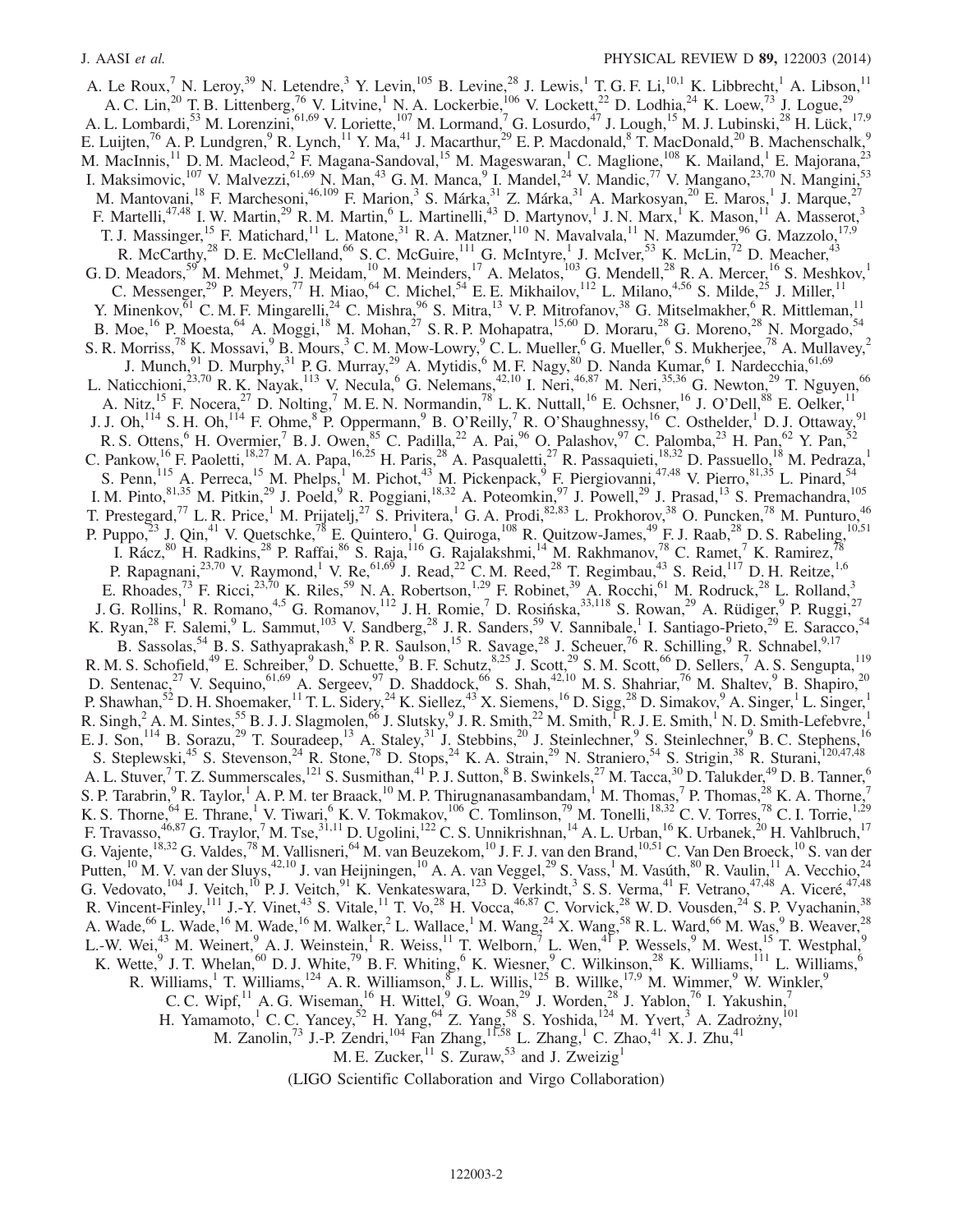A. Le Roux,<sup>7</sup> N. Leroy,<sup>39</sup> N. Letendre,<sup>3</sup> Y. Levin,<sup>105</sup> B. Levine,<sup>28</sup> J. Lewis,<sup>1</sup> T. G. F. Li,<sup>10,1</sup> K. Libbrecht,<sup>1</sup> A. Libson,<sup>11</sup> A. C. Lin,<sup>20</sup> T. B. Littenberg,<sup>76</sup> V. Litvine,<sup>1</sup> N. A. Lockerbie,<sup>106</sup> V. Lockett,<sup>22</sup> D. Lodhia,<sup>24</sup> K. Loew,<sup>73</sup> J. Logue,<sup>29</sup> A. L. Lombardi,<sup>53</sup> M. Lorenzini,<sup>61,69</sup> V. Loriette,<sup>107</sup> M. Lormand,<sup>7</sup> G. Losurdo,<sup>47</sup> J. Lough,<sup>15</sup> M. J. Lubinski,<sup>28</sup> H. Lück,<sup>17,9</sup> E. Luijten,<sup>76</sup> A. P. Lundgren,<sup>9</sup> R. Lynch,<sup>11</sup> Y. Ma,<sup>41</sup> J. Macarthur,<sup>29</sup> E. P. Macdonald,<sup>8</sup> T. MacDonald,<sup>20</sup> B. Machenschalk,<sup>9</sup> M. MacInnis,<sup>11</sup> D. M. Macleod,<sup>2</sup> F. Magana-Sandoval,<sup>15</sup> M. Mageswaran,<sup>1</sup> C. Maglione,<sup>108</sup> K. Mailand,<sup>1</sup> E. Majorana,<sup>23</sup> I. Maksimovic,<sup>107</sup> V. Malvezzi,<sup>61,69</sup> N. Man,<sup>43</sup> G. M. Manca,<sup>9</sup> I. Mandel,<sup>24</sup> V. Mandic,<sup>77</sup> V. Mangano,<sup>23,70</sup> N. Mangini,<sup>53</sup> M. Mantovani,<sup>18</sup> F. Marchesoni,<sup>46,109</sup> F. Marion,<sup>3</sup> S. Márka,<sup>31</sup> Z. Márka,<sup>31</sup> A. Markosyan,<sup>20</sup> E. Maros,<sup>1</sup> J. Marque,<sup>27</sup> F. Martelli,<sup>47,48</sup> I. W. Martin,<sup>29</sup> R. M. Martin,<sup>6</sup> L. Martinelli,<sup>43</sup> D. Martynov,<sup>1</sup> J. N. Marx,<sup>1</sup> K. Mason,<sup>11</sup> A. Masserot,<sup>3</sup> T. J. Massinger,<sup>15</sup> F. Matichard,<sup>11</sup> L. Matone,<sup>31</sup> R. A. Matzner,<sup>110</sup> N. Mavalvala,<sup>11</sup> N. Mazumder,<sup>96</sup> G. Mazzolo,<sup>17,9</sup> R. McCarthy,<sup>28</sup> D. E. McClelland,<sup>66</sup> S. C. McGuire,<sup>111</sup> G. McIntyre,<sup>1</sup> J. McIver,<sup>53</sup> K. McLin,<sup>72</sup> D. Meacher,<sup>43</sup> G. D. Meadors,<sup>59</sup> M. Mehmet,<sup>9</sup> J. Meidam,<sup>10</sup> M. Meinders,<sup>17</sup> A. Melatos,<sup>103</sup> G. Mendell,<sup>28</sup> R. A. Mercer,<sup>16</sup> S. Meshkov,<sup>1</sup> C. Messenger,<sup>29</sup> P. Meyers,<sup>77</sup> H. Miao,<sup>64</sup> C. Michel,<sup>54</sup> E. E. Mikhailov,<sup>112</sup> L. Milano,<sup>4,56</sup> S. Milde,<sup>25</sup> J. Miller,<sup>11</sup> Y. Minenkov,  $61$  C. M. F. Mingarelli,  $24$  C. Mishra,  $96$  S. Mitra,  $13$  V. P. Mitrofanov,  $38$  G. Mitselmakher,  $6$  R. Mittleman,  $11$ B. Moe,<sup>16</sup> P. Moesta,<sup>64</sup> A. Moggi,<sup>18</sup> M. Mohan,<sup>27</sup> S. R. P. Mohapatra,<sup>15,60</sup> D. Moraru,<sup>28</sup> G. Moreno,<sup>28</sup> N. Morgado,<sup>54</sup> S. R. Morriss,<sup>78</sup> K. Mossavi,<sup>9</sup> B. Mours,<sup>3</sup> C. M. Mow-Lowry,<sup>9</sup> C. L. Mueller,<sup>6</sup> G. Mueller,<sup>6</sup> S. Mukherjee,<sup>78</sup> A. Mullavey,<sup>2</sup> J. Munch,<sup>91</sup> D. Murphy,<sup>31</sup> P. G. Murray,<sup>29</sup> A. Mytidis,<sup>6</sup> M. F. Nagy,<sup>80</sup> D. Nanda Kumar,<sup>6</sup> I. Nardecchia,<sup>61,69</sup> L. Naticchioni,<sup>23,70</sup> R. K. Nayak,<sup>113</sup> V. Necula,<sup>6</sup> G. Nelemans,<sup>42,10</sup> I. Neri,<sup>46,87</sup> M. Neri,<sup>35,36</sup> G. Newton,<sup>29</sup> T. Nguyen,<sup>66</sup> A. Nitz,<sup>15</sup> F. Nocera,<sup>27</sup> D. Nolting,<sup>7</sup> M. E. N. Normandin,<sup>78</sup> L. K. Nuttall,<sup>16</sup> E. Ochsner,<sup>16</sup> J. O'Dell,<sup>88</sup> E. Oelker,<sup>11</sup> J. J. Oh,<sup>114</sup> S. H. Oh,<sup>114</sup> F. Ohme, <sup>8</sup> P. Oppermann, <sup>9</sup> B. O'Reilly, <sup>7</sup> R. O'Shaughnessy, <sup>16</sup> C. Osthelder, <sup>1</sup> D. J. Ottaway, <sup>91</sup> R. S. Ottens, <sup>6</sup> H. Overmier, <sup>7</sup> B. J. Owen, <sup>85</sup> C. Padilla, <sup>22</sup> A. Pai, <sup>96</sup> O. Palashov, <sup>97</sup> C. Palomba, <sup>23</sup> H. Pan, <sup>62</sup> Y. Pan, <sup>52</sup> C. Pankow, <sup>16</sup> F. Paoletti, <sup>18,27</sup> M. A. Papa, <sup>16,25</sup> H. Paris, <sup>28</sup> A. Pasqualetti, <sup>27</sup> R. Passaquieti, <sup>18,32</sup> D. Passuello, <sup>18</sup> M. Pedraza, <sup>1</sup> S. Penn,<sup>115</sup> A. Perreca,<sup>15</sup> M. Phelps,<sup>1</sup> M. Pichot,<sup>43</sup> M. Pickenpack,<sup>9</sup> F. Piergiovanni,<sup>47,48</sup> V. Pierro,<sup>81,35</sup> L. Pinard,<sup>54</sup> I. M. Pinto,  $81,35$  M. Pitkin,  $29$  J. Poeld,  $9$  R. Poggiani,  $18,32$  A. Poteomkin,  $97$  J. Powell,  $29$  J. Prasad,  $13$  S. Premachandra,  $105$ T. Prestegard,<sup>77</sup> L. R. Price,<sup>1</sup> M. Prijatelj,<sup>27</sup> S. Privitera,<sup>1</sup> G. A. Prodi,<sup>82,83</sup> L. Prokhorov,<sup>38</sup> O. Puncken,<sup>78</sup> M. Punturo,<sup>46</sup> P. Puppo,  $^{23}$  J. Qin,  $^{41}$  V. Quetschke,  $^{78}$  E. Quintero, <sup>1</sup> G. Quiroga,  $^{108}$  R. Quitzow-James,  $^{49}$  F. J. Raab,  $^{28}$  D. S. Rabeling,  $^{10,51}$ I. Rácz,  $80$  H. Radkins,  $28$  P. Raffai,  $86$  S. Raja,  $^{116}$  G. Rajalakshmi,  $^{14}$  M. Rakhmanov,  $^{78}$  C. Ramet,  $^7$  K. Ramirez,  $^{78}$ P. Rapagnani,<sup>23,70</sup> V. Raymond,<sup>1</sup> V. Re,<sup>61,69</sup> J. Read,<sup>22</sup> C. M. Reed,<sup>28</sup> T. Regimbau,<sup>43</sup> S. Reid,<sup>117</sup> D. H. Reitze,<sup>1,6</sup> E. Rhoades,<sup>73</sup> F. Ricci,<sup>23,70</sup> K. Riles,<sup>59</sup> N. A. Robertson,<sup>1,29</sup> F. Robinet,<sup>39</sup> A. Rocchi,<sup>61</sup> M. Rodruck,<sup>28</sup> L. Rolland,<sup>3</sup> J. G. Rollins,<sup>1</sup> R. Romano,<sup>4,5</sup> G. Romanov,<sup>112</sup> J. H. Romie,<sup>7</sup> D. Rosińska,<sup>33,118</sup> S. Rowan,<sup>29</sup> A. Rüdiger,<sup>9</sup> P. Ruggi,<sup>27</sup> K. Ryan,<sup>28</sup> F. Salemi,<sup>9</sup> L. Sammut,<sup>103</sup> V. Sandberg,<sup>28</sup> J. R. Sanders,<sup>59</sup> V. Sannibale,<sup>1</sup> I. Santiago-Prieto,<sup>29</sup> E. Saracco,<sup>54</sup> B. Sassolas,  $54$  B. S. Sathyaprakash,  $8$  P. R. Saulson,  $15$  R. Savage,  $28$  J. Scheuer,  $76$  R. Schilling,  $9$  R. Schnabel,  $9,17$ R. M. S. Schofield,<sup>49</sup> E. Schreiber,<sup>9</sup> D. Schuette,<sup>9</sup> B. F. Schutz,<sup>8,25</sup> J. Scott,<sup>29</sup> S. M. Scott,<sup>66</sup> D. Sellers,<sup>7</sup> A. S. Sengupta,<sup>119</sup> D. Sentenac,<sup>27</sup> V. Sequino,<sup>61,69</sup> A. Sergeev,<sup>97</sup> D. Shaddock,<sup>66</sup> S. Shah,<sup>42,10</sup> M. S. Shahriar,<sup>76</sup> M. Shaltev,<sup>9</sup> B. Shapiro,<sup>20</sup> P. Shawhan,<sup>52</sup> D. H. Shoemaker,<sup>11</sup> T. L. Sidery,<sup>24</sup> K. Siellez,<sup>43</sup> X. Siemens,<sup>16</sup> D. Sigg,<sup>28</sup> D. Simakov,<sup>9</sup> A. Singer,<sup>1</sup> L. Singer,<sup>1</sup> R. Singh,  $^2$  A. M. Sintes,  $^{55}$  B. J. J. Slagmolen,  $^{66}$  J. Slutsky,  $^9$  J. R. Smith,  $^{22}$  M. Smith,  $^{1}$  R. J. E. Smith,  $^{1}$  N. D. Smith-Lefebvre, E. J. Son,<sup>114</sup> B. Sorazu,<sup>29</sup> T. Souradeep,<sup>13</sup> A. Staley,<sup>31</sup> J. Stebbins,<sup>20</sup> J. Steinlechner,<sup>9</sup> S. Steinlechner,<sup>9</sup> B. C. Stephens,<sup>16</sup> S. Steplewski,<sup>45</sup> S. Stevenson,<sup>24</sup> R. Stone,<sup>78</sup> D. Stops,<sup>24</sup> K. A. Strain,<sup>29</sup> N. Straniero,<sup>54</sup> S. Strigin,<sup>38</sup> R. Sturani,<sup>120,47,48</sup> A. L. Stuver,  $^7$  T. Z. Summerscales,  $^{121}$  S. Susmithan,  $^{41}$  P. J. Sutton,  $^8$  B. Swinkels,  $^{27}$  M. Tacca,  $^{30}$  D. Talukder,  $^{49}$  D. B. Tanner,  $^{6}$ S. P. Tarabrin,  $9R$ . Taylor,  $1A$ . P. M. ter Braack,  $10M$ . P. Thirugnanasambandam,  $1M$ . Thomas,  $7R$ . Thomas,  $28K$ . A. Thorne,  $7R$ K. S. Thorne,  $^{64}$  E. Thrane, <sup>1</sup> V. Tiwari, <sup>6</sup> K. V. Tokmakov,  $^{106}$  C. Tomlinson,  $^{79}$  M. Tonelli,  $^{18,32}$  C. V. Torres,  $^{78}$  C. I. Torrie,  $^{1,29}$ F. Travasso, $^{46,87}_{1.1}$  G. Traylor,<sup>7</sup> M. Tse,<sup>31,11</sup> D. Ugolini,<sup>122</sup> C. S. Unnikrishnan,<sup>14</sup> A. L. Urban,<sup>16</sup> K. Urbanek,<sup>20</sup> H. Vahlbruch,<sup>17</sup> G. Vajente, <sup>18,32</sup> G. Valdes, <sup>78</sup> M. Vallisneri, <sup>64</sup> M. van Beuzekom, <sup>10</sup> J. F. J. van den Brand, <sup>10,51</sup> C. Van Den Broeck, <sup>10</sup> S. van der Putten,<sup>10</sup> M. V. van der Sluys,<sup>42,10</sup> J. van Heijningen,<sup>10</sup> A. A. van Veggel,<sup>29</sup> S. Vass,<sup>1</sup> M. Vasúth,<sup>80</sup> R. Vaulin,<sup>11</sup> A. Vecchio,<sup>24</sup> G. Vedovato,<sup>104</sup> J. Veitch,<sup>10</sup> P. J. Veitch,<sup>91</sup> K. Venkateswara,<sup>123</sup> D. Verkindt,<sup>3</sup> S. S. Verma,<sup>41</sup> F. Vetrano,<sup>47,48</sup> A. Viceré,<sup>47,48</sup> R. Vincent-Finley,  $^{111}$  J.-Y. Vinet,  $^{43}$  S. Vitale,  $^{11}$  T. Vo,  $^{28}$  H. Vocca,  $^{46,87}$  C. Vorvick,  $^{28}$  W. D. Vousden,  $^{24}$  S. P. Vyachanin,  $^{38}$ A. Wade,<sup>66</sup> L. Wade,<sup>16</sup> M. Wade,<sup>16</sup> M. Walker,<sup>2</sup> L. Wallace,<sup>1</sup> M. Wang,<sup>24</sup> X. Wang,<sup>58</sup> R. L. Ward,<sup>66</sup> M. Was,<sup>9</sup> B. Weaver,<sup>28</sup> L.-W. Wei, $^{43}$  M. Weinert, $^{9}$  A. J. Weinstein, <sup>1</sup> R. Weiss, <sup>11</sup> T. Welborn, <sup>7</sup> L. Wen, <sup>41</sup> P. Wessels, <sup>9</sup> M. West, <sup>15</sup> T. Westphal, <sup>9</sup> K. Wette, <sup>9</sup> J. T. Whelan, <sup>60</sup> D. J. White, <sup>79</sup> B. F. Whiting, <sup>6</sup> K. Wiesner, <sup>9</sup> C. Wilkinson, <sup>28</sup> K. Williams, <sup>111</sup> L. Williams, <sup>6</sup> R. Williams,<sup>1</sup> T. Williams,<sup>124</sup> A. R. Williamson,<sup>8</sup> J. L. Willis,<sup>125</sup> B. Willke,<sup>17,9</sup> M. Wimmer,<sup>9</sup> W. Winkler,<sup>9</sup> C. C. Wipf, <sup>11</sup> A. G. Wiseman, <sup>16</sup> H. Wittel, <sup>9</sup> G. Woan, <sup>29</sup> J. Worden, <sup>28</sup> J. Yablon, <sup>76</sup> I. Yakushin, <sup>7</sup> H. Yamamoto,<sup>1</sup> C. C. Yancey,<sup>52</sup> H. Yang,<sup>64</sup> Z. Yang,<sup>58</sup> S. Yoshida,<sup>124</sup> M. Yvert,<sup>3</sup> A. Zadrożny,<sup>101</sup> M. Zanolin,<sup>73</sup> J.-P. Zendri,<sup>104</sup> Fan Zhang,<sup>11,58</sup> L. Zhang,<sup>1</sup> C. Zhao,<sup>41</sup> X. J. Zhu,<sup>41</sup> M. E. Zucker,  $11$  S. Zuraw,  $53$  and J. Zweizig<sup>1</sup>

(LIGO Scientific Collaboration and Virgo Collaboration)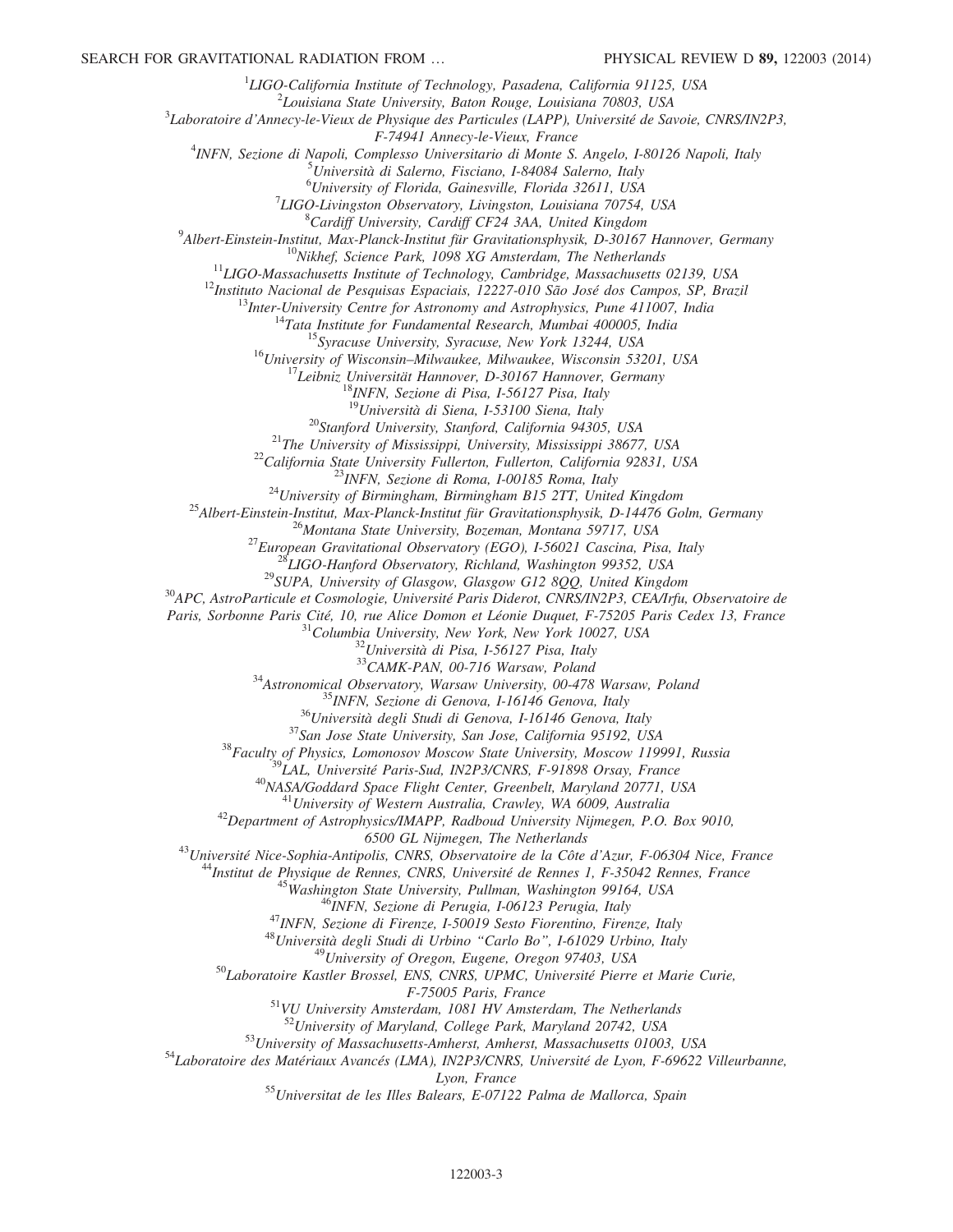<sup>1</sup>LIGO-California Institute of Technology, Pasadena, California 91125, USA<br><sup>2</sup>Louisiana State University, Paten Pouse, Louisiana 70803, USA

 $2$ Louisiana State University, Baton Rouge, Louisiana 70803, USA

<sup>3</sup>Laboratoire d'Annecy-le-Vieux de Physique des Particules (LAPP), Université de Savoie, CNRS/IN2P3,<br>F-74941 Annecy-le-Vieux, France

F-74941 Annecy-le-Vieux, France<br><sup>4</sup>INEN, Serione di Napoli, Complesso Universitario di Monte S

INFN, Sezione di Napoli, Complesso Universitario di Monte S. Angelo, I-80126 Napoli, Italy<br><sup>5</sup>Università di Salarne, Fisciano, I 84084 Salarne, Italy

Università di Salerno, Fisciano, I-84084 Salerno, Italy

<sup>6</sup> University of Florida, Gainesville, Florida 32611, USA<br><sup>7</sup> UCO Livinaston Observatory, Livinaston Louisiana 70754

<sup>7</sup>LIGO-Livingston Observatory, Livingston, Louisiana 70754, USA  ${}^{8}$ Cardiff University, Cardiff CF24 3AA, United Kingdom

 $^9$ Albert-Einstein-Institut, Max-Planck-Institut für Gravitationsphysik, D-30167 Hannover, Germany

<sup>10</sup>Nikhef, Science Park, 1098 XG Amsterdam, The Netherlands<br><sup>11</sup>LIGO-Massachusetts Institute of Technology, Cambridge, Massachusetts 02139, USA<br><sup>12</sup>Instituto Nacional de Pesquisas Espaciais, 12227-010 São José dos Campos

<sup>19</sup>Università di Siena, 1-53100 Siena, Italy<br><sup>20</sup>Stanford University, Stanford, California 94305, USA<br><sup>21</sup>The University of Mississippi, University, Mississippi 38677, USA<br><sup>22</sup>California State University Fullerton, Fulle

Paris, Sorbonne Paris Cité, 10, rue Alice Domon et Léonie Duquet, F-75205 Paris Cedex 13, France <sup>31</sup>Columbia University, New York, New York 10027, USA <sup>32</sup>Università di Pisa, I-56127 Pisa, Italy <sup>33</sup>CAMK-PAN, 00-716 Warsa

<sup>34</sup>Astronomical Observatory, Warsaw University, 00-478 Warsaw, Poland<br><sup>35</sup>INFN, Sezione di Genova, I-16146 Genova, Italy<br><sup>36</sup>Università degli Studi di Genova, I-16146 Genova, Italy<br><sup>37</sup>San Jose State University, San Jose

<sup>43</sup>Université Nice-Sophia-Antipolis, CNRS, Observatoire de la Côte d'Azur, F-06304 Nice, France<br><sup>44</sup>Institut de Physique de Rennes, CNRS, Université de Rennes 1, F-35042 Rennes, France<br><sup>45</sup>Washington State University, Pu

F-75005 Paris, France<br><sup>51</sup>VU University Amsterdam, 1081 HV Amsterdam, The Netherlands<br><sup>52</sup>University of Maryland, College Park, Maryland 20742, USA

<sup>53</sup>University of Massachusetts-Amherst, Amherst, Massachusetts 01003, USA<br><sup>54</sup>Laboratoire des Matériaux Avancés (LMA), IN2P3/CNRS, Université de Lyon, F-69622 Villeurbanne,

Lyon, France<br><sup>55</sup>Universitat de les Illes Balears, E-07122 Palma de Mallorca, Spain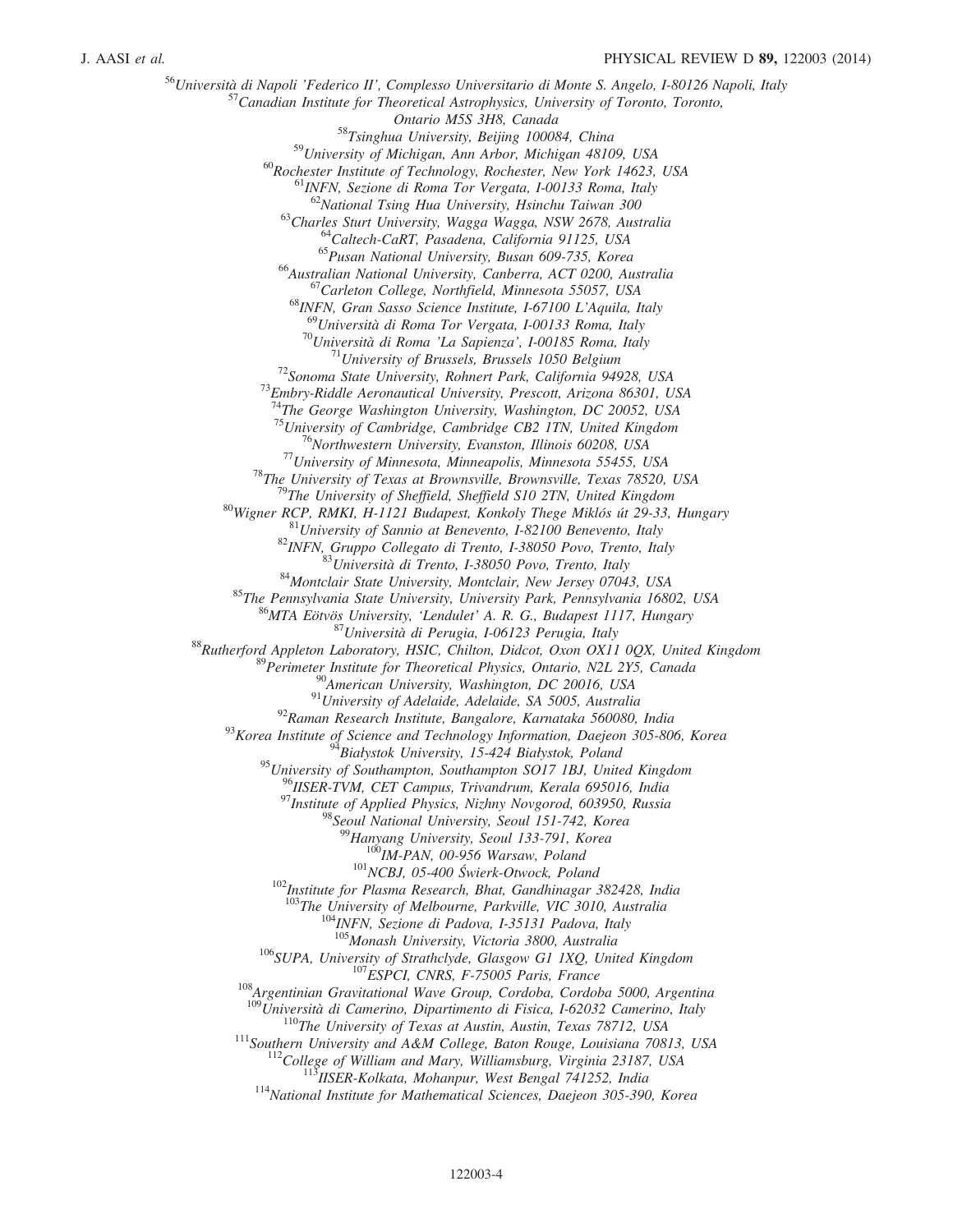<sup>56</sup>Università di Napoli 'Federico II', Complesso Universitario di Monte S. Angelo, I-80126 Napoli, Italy<br><sup>57</sup>Canadian Institute for Theoretical Astrophysics, University of Toronto, Toronto,<br>*Ontario M5S 3H8, Canada*  $^{58}T\singhua$  University, Beijing 100084, China<br> $^{59}University$  of Michigan, Ann Arbor, Michigan 48109, USA <sup>60</sup>Rochester Institute of Technology, Rochester, New York 14623, USA <sup>61</sup>INFN, Sezione di Roma Tor Vergata, I-00133 Roma, Italy <sup>62</sup>National Tsing Hua University, Hsinchu Taiwan 300 <sup>63</sup>Charles Sturt University, Wagga Wagga, NSW 2678, Australia<br><sup>64</sup>Caltech-CaRT, Pasadena, California 91125, USA<br><sup>65</sup>Pusan National University, Busan 609-735, Korea<br><sup>66</sup>Australian National University, Canberra, ACT 0200, <sup>69</sup>Università di Roma Tor Vergata, I-00133 Roma, Italy<br><sup>70</sup>Università di Roma 'La Sapienza', I-00185 Roma, Italy<br><sup>71</sup>University of Brussels, Brussels 1050 Belgium<br><sup>72</sup>Sonoma State University, Rohnert Park, California 949 <sup>74</sup>The George Washington University, Washington, DC 20052, USA  $^{75}$ University of Cambridge, Cambridge CB2 1TN, United Kingdom <sup>75</sup> University of Cambridge, Cambridge CB2 1TN, United Kingdom<br>
<sup>76</sup> Northwestern University, Evanston, Illinois 60208, USA<br>
<sup>77</sup> University of Mimestota, Mimeapolis, Mimestota 55455, USA<br>
<sup>77</sup> University of Mimestota, M <sup>95</sup>University of Southampton, Southampton SO17 1BJ, United Kingdom<br><sup>96</sup>IISER-TVM, CET Campus, Trivandrum, Kerala 695016, India 97<br>Institute of Applied Physics, Nizhny Novgorod, 603950, Russia<br><sup>98</sup>Seoul National University, Seoul 151-742, Korea<br><sup>99</sup>Hanyang University, Seoul 133-791, Korea  $^{100}$ IM-PAN, 00-956 Warsaw, Poland<br> $^{101}$ NCBJ, 05-400 Świerk-Otwock, Poland<br> $^{102}$ Institute for Plasma Research, Bhat, Gandhinagar 382428, India <sup>103</sup>The University of Melbourne, Parkville, VIC 3010, Australia<br><sup>104</sup>INFN, Sezione di Padova, I-35131 Padova, Italy<br><sup>105</sup>Monash University, Victoria 3800, Australia <sup>106</sup>SUPA, University of Strathclyde, Glasgow G1 1XQ, United Kingdom<br><sup>107</sup>ESPCI, CNRS, F-75005 Paris, France<br><sup>108</sup>Argentinian Gravitational Wave Group, Cordoba, Cordoba 5000, Argentina<br><sup>108</sup>Università di Camerino, Diparti <sup>110</sup>The University of Texas at Austin, Austin, Texas 78712, USA<br><sup>111</sup>Southern University and A&M College, Baton Rouge, Louisiana 70813, USA<br><sup>112</sup>College of William and Mary, Williamsburg, Virginia 23187, USA<br><sup>113</sup>IISER-K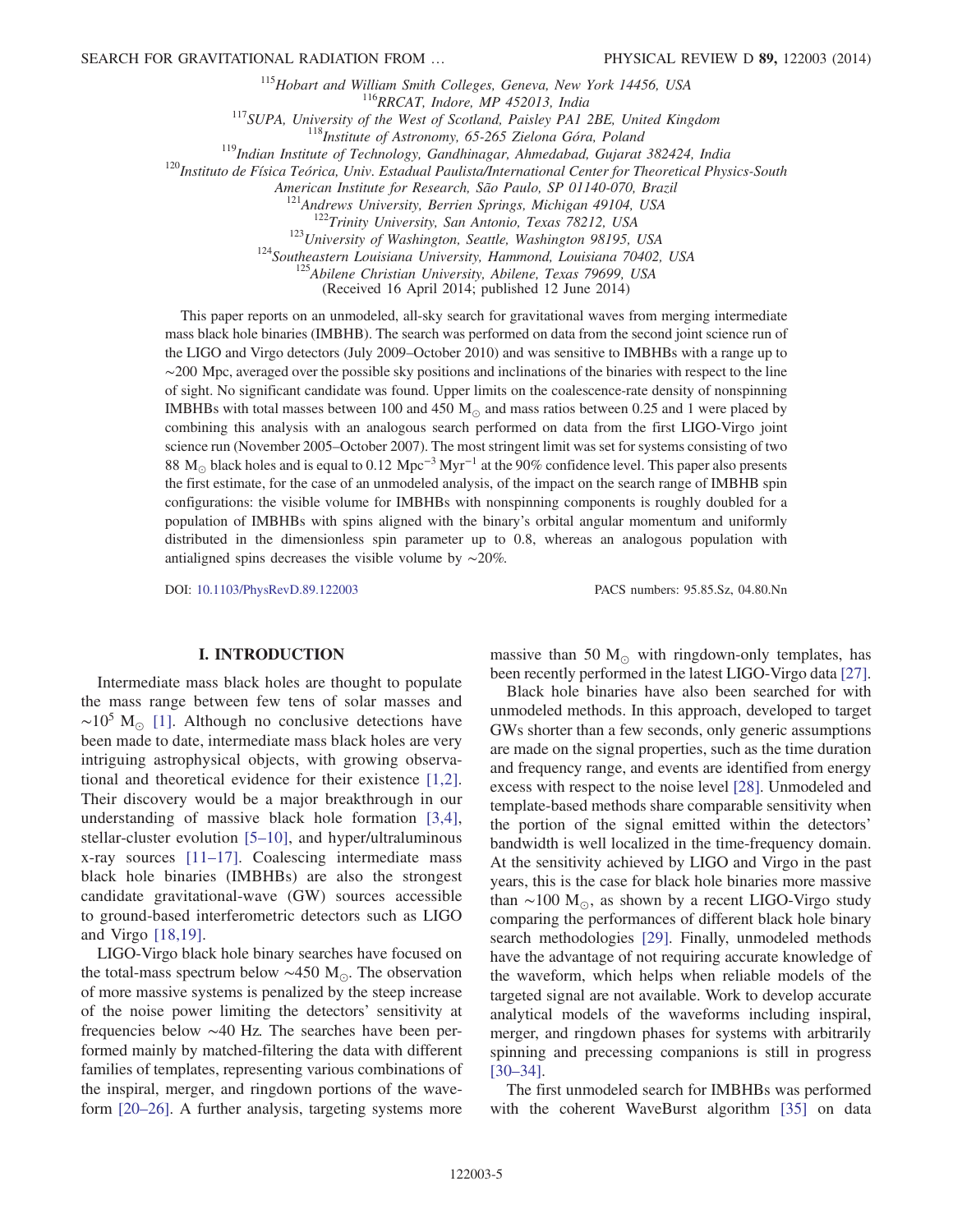<sup>115</sup>Hobart and William Smith Colleges, Geneva, New York 14456, USA<br><sup>116</sup>RRCAT, Indore, MP 452013, India<br><sup>117</sup>SUPA, University of the West of Scotland, Paisley PA1 2BE, United Kingdom<br><sup>118</sup>Institute of Astronomy, 65-265 Z

American Institute for Research, São Paulo, SP 01140-070, Brazil<br><sup>121</sup>Andrews University, Berrien Springs, Michigan 49104, USA<br><sup>122</sup>Trinity University, San Antonio, Texas 78212, USA<br><sup>123</sup>University of Washington, Seattle,

(Received 16 April 2014; published 12 June 2014)

This paper reports on an unmodeled, all-sky search for gravitational waves from merging intermediate mass black hole binaries (IMBHB). The search was performed on data from the second joint science run of the LIGO and Virgo detectors (July 2009–October 2010) and was sensitive to IMBHBs with a range up to ∼200 Mpc, averaged over the possible sky positions and inclinations of the binaries with respect to the line of sight. No significant candidate was found. Upper limits on the coalescence-rate density of nonspinning IMBHBs with total masses between 100 and 450  $M_{\odot}$  and mass ratios between 0.25 and 1 were placed by combining this analysis with an analogous search performed on data from the first LIGO-Virgo joint science run (November 2005–October 2007). The most stringent limit was set for systems consisting of two 88 M<sub>☉</sub> black holes and is equal to 0.12 Mpc<sup>-3</sup> Myr<sup>-1</sup> at the 90% confidence level. This paper also presents the first estimate, for the case of an unmodeled analysis, of the impact on the search range of IMBHB spin configurations: the visible volume for IMBHBs with nonspinning components is roughly doubled for a population of IMBHBs with spins aligned with the binary's orbital angular momentum and uniformly distributed in the dimensionless spin parameter up to 0.8, whereas an analogous population with antialigned spins decreases the visible volume by ∼20%.

DOI: [10.1103/PhysRevD.89.122003](http://dx.doi.org/10.1103/PhysRevD.89.122003) PACS numbers: 95.85.Sz, 04.80.Nn

### I. INTRODUCTION

Intermediate mass black holes are thought to populate the mass range between few tens of solar masses and  $\sim$ 10<sup>5</sup> M<sub>☉</sub> [\[1\].](#page-13-0) Although no conclusive detections have been made to date, intermediate mass black holes are very intriguing astrophysical objects, with growing observational and theoretical evidence for their existence [\[1,2\]](#page-13-0). Their discovery would be a major breakthrough in our understanding of massive black hole formation [\[3,4\]](#page-13-1), stellar-cluster evolution [5–[10\]](#page-13-2), and hyper/ultraluminous x-ray sources [11–[17\]](#page-13-3). Coalescing intermediate mass black hole binaries (IMBHBs) are also the strongest candidate gravitational-wave (GW) sources accessible to ground-based interferometric detectors such as LIGO and Virgo [\[18,19\].](#page-13-4)

LIGO-Virgo black hole binary searches have focused on the total-mass spectrum below  $\sim$ 450 M<sub>☉</sub>. The observation of more massive systems is penalized by the steep increase of the noise power limiting the detectors' sensitivity at frequencies below ∼40 Hz. The searches have been performed mainly by matched-filtering the data with different families of templates, representing various combinations of the inspiral, merger, and ringdown portions of the waveform [20–[26\].](#page-13-5) A further analysis, targeting systems more massive than 50  $M_{\odot}$  with ringdown-only templates, has been recently performed in the latest LIGO-Virgo data [\[27\]](#page-13-6).

Black hole binaries have also been searched for with unmodeled methods. In this approach, developed to target GWs shorter than a few seconds, only generic assumptions are made on the signal properties, such as the time duration and frequency range, and events are identified from energy excess with respect to the noise level [\[28\]](#page-13-7). Unmodeled and template-based methods share comparable sensitivity when the portion of the signal emitted within the detectors' bandwidth is well localized in the time-frequency domain. At the sensitivity achieved by LIGO and Virgo in the past years, this is the case for black hole binaries more massive than  $\sim$ 100 M<sub>☉</sub>, as shown by a recent LIGO-Virgo study comparing the performances of different black hole binary search methodologies [\[29\].](#page-13-8) Finally, unmodeled methods have the advantage of not requiring accurate knowledge of the waveform, which helps when reliable models of the targeted signal are not available. Work to develop accurate analytical models of the waveforms including inspiral, merger, and ringdown phases for systems with arbitrarily spinning and precessing companions is still in progress [\[30](#page-13-9)–34].

The first unmodeled search for IMBHBs was performed with the coherent WaveBurst algorithm [\[35\]](#page-13-10) on data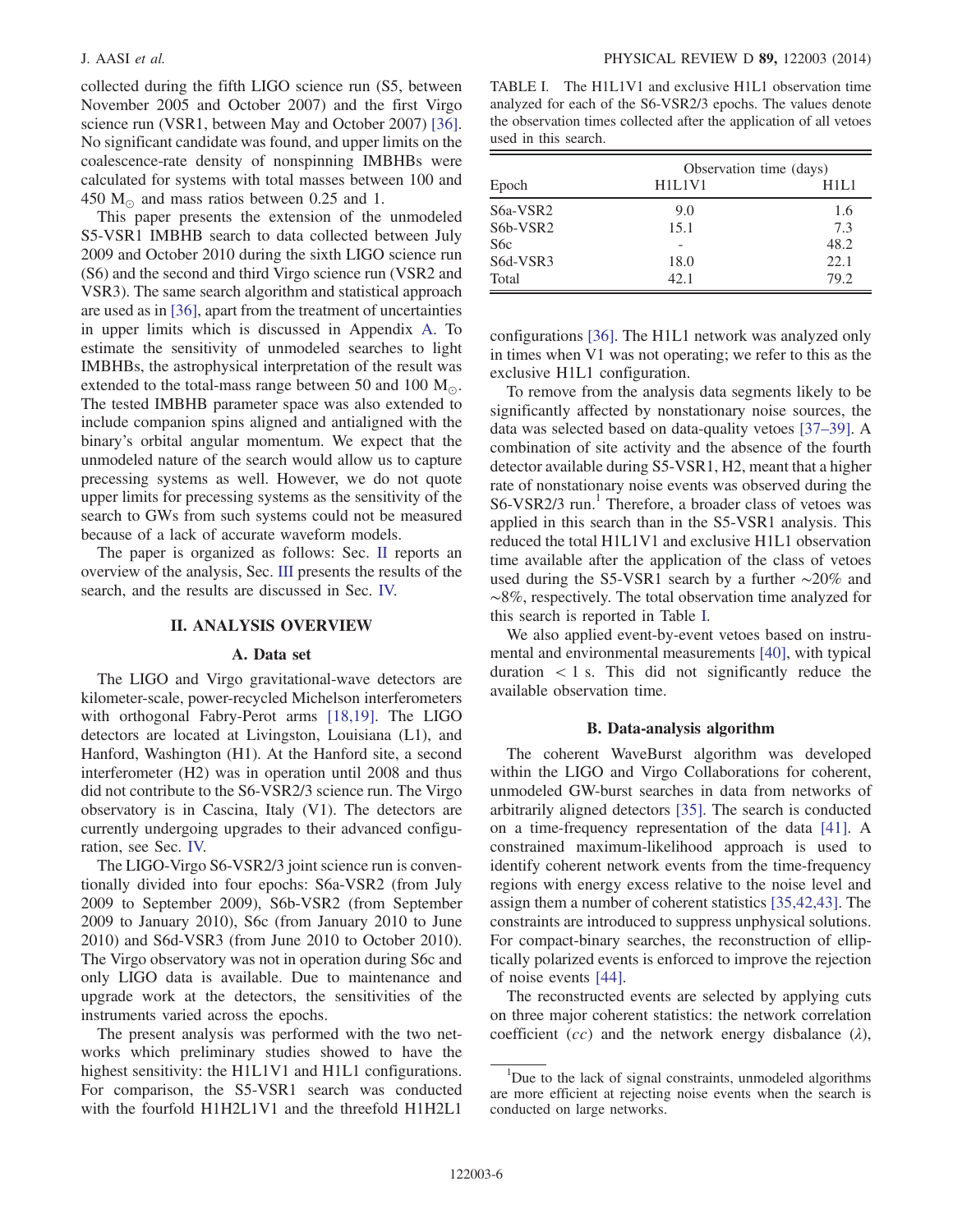collected during the fifth LIGO science run (S5, between November 2005 and October 2007) and the first Virgo science run (VSR1, between May and October 2007) [\[36\]](#page-13-11). No significant candidate was found, and upper limits on the coalescence-rate density of nonspinning IMBHBs were calculated for systems with total masses between 100 and 450  $M_{\odot}$  and mass ratios between 0.25 and 1.

This paper presents the extension of the unmodeled S5-VSR1 IMBHB search to data collected between July 2009 and October 2010 during the sixth LIGO science run (S6) and the second and third Virgo science run (VSR2 and VSR3). The same search algorithm and statistical approach are used as in [\[36\],](#page-13-11) apart from the treatment of uncertainties in upper limits which is discussed in Appendix [A](#page-11-0). To estimate the sensitivity of unmodeled searches to light IMBHBs, the astrophysical interpretation of the result was extended to the total-mass range between 50 and 100  $M_{\odot}$ . The tested IMBHB parameter space was also extended to include companion spins aligned and antialigned with the binary's orbital angular momentum. We expect that the unmodeled nature of the search would allow us to capture precessing systems as well. However, we do not quote upper limits for precessing systems as the sensitivity of the search to GWs from such systems could not be measured because of a lack of accurate waveform models.

The paper is organized as follows: Sec. [II](#page-5-0) reports an overview of the analysis, Sec. [III](#page-7-0) presents the results of the search, and the results are discussed in Sec. [IV.](#page-10-0)

#### II. ANALYSIS OVERVIEW

### A. Data set

<span id="page-5-0"></span>The LIGO and Virgo gravitational-wave detectors are kilometer-scale, power-recycled Michelson interferometers with orthogonal Fabry-Perot arms [\[18,19\].](#page-13-4) The LIGO detectors are located at Livingston, Louisiana (L1), and Hanford, Washington (H1). At the Hanford site, a second interferometer (H2) was in operation until 2008 and thus did not contribute to the S6-VSR2/3 science run. The Virgo observatory is in Cascina, Italy (V1). The detectors are currently undergoing upgrades to their advanced configuration, see Sec. [IV.](#page-10-0)

The LIGO-Virgo S6-VSR2/3 joint science run is conventionally divided into four epochs: S6a-VSR2 (from July 2009 to September 2009), S6b-VSR2 (from September 2009 to January 2010), S6c (from January 2010 to June 2010) and S6d-VSR3 (from June 2010 to October 2010). The Virgo observatory was not in operation during S6c and only LIGO data is available. Due to maintenance and upgrade work at the detectors, the sensitivities of the instruments varied across the epochs.

The present analysis was performed with the two networks which preliminary studies showed to have the highest sensitivity: the H1L1V1 and H1L1 configurations. For comparison, the S5-VSR1 search was conducted with the fourfold H1H2L1V1 and the threefold H1H2L1

<span id="page-5-1"></span>TABLE I. The H1L1V1 and exclusive H1L1 observation time analyzed for each of the S6-VSR2/3 epochs. The values denote the observation times collected after the application of all vetoes used in this search.

|                  | Observation time (days)                      |      |  |
|------------------|----------------------------------------------|------|--|
| Epoch            | H <sub>1</sub> L <sub>1</sub> V <sub>1</sub> | H1L1 |  |
| S6a-VSR2         | 9.0                                          | 1.6  |  |
| S6b-VSR2         | 15.1                                         | 7.3  |  |
| S <sub>6</sub> c |                                              | 48.2 |  |
| S6d-VSR3         | 18.0                                         | 22.1 |  |
| Total            | 42.1                                         | 79.2 |  |

configurations [\[36\].](#page-13-11) The H1L1 network was analyzed only in times when V1 was not operating; we refer to this as the exclusive H1L1 configuration.

To remove from the analysis data segments likely to be significantly affected by nonstationary noise sources, the data was selected based on data-quality vetoes [37–[39\].](#page-13-12) A combination of site activity and the absence of the fourth detector available during S5-VSR1, H2, meant that a higher rate of nonstationary noise events was observed during the S6-VSR2/3 run.<sup>1</sup> Therefore, a broader class of vetoes was applied in this search than in the S5-VSR1 analysis. This reduced the total H1L1V1 and exclusive H1L1 observation time available after the application of the class of vetoes used during the S5-VSR1 search by a further ∼20% and ∼8%, respectively. The total observation time analyzed for this search is reported in Table [I](#page-5-1).

We also applied event-by-event vetoes based on instrumental and environmental measurements [\[40\]](#page-13-13), with typical duration  $\langle 1 \rangle$  s. This did not significantly reduce the available observation time.

#### B. Data-analysis algorithm

The coherent WaveBurst algorithm was developed within the LIGO and Virgo Collaborations for coherent, unmodeled GW-burst searches in data from networks of arbitrarily aligned detectors [\[35\].](#page-13-10) The search is conducted on a time-frequency representation of the data [\[41\].](#page-13-14) A constrained maximum-likelihood approach is used to identify coherent network events from the time-frequency regions with energy excess relative to the noise level and assign them a number of coherent statistics [\[35,42,43\].](#page-13-10) The constraints are introduced to suppress unphysical solutions. For compact-binary searches, the reconstruction of elliptically polarized events is enforced to improve the rejection of noise events [\[44\]](#page-13-15).

The reconstructed events are selected by applying cuts on three major coherent statistics: the network correlation coefficient  $(cc)$  and the network energy disbalance  $(\lambda)$ ,

<sup>&</sup>lt;sup>1</sup>Due to the lack of signal constraints, unmodeled algorithms are more efficient at rejecting noise events when the search is conducted on large networks.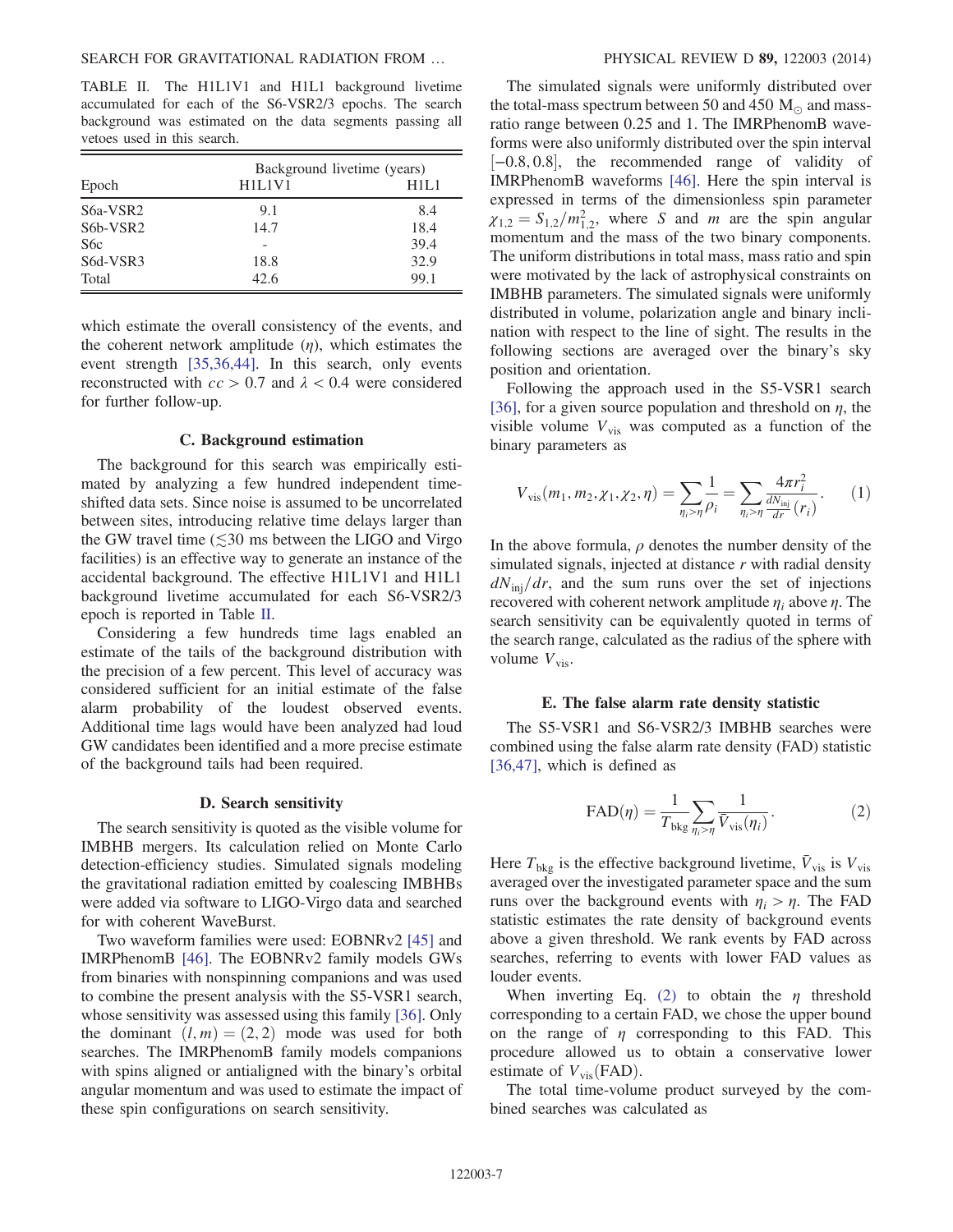<span id="page-6-0"></span>TABLE II. The H1L1V1 and H1L1 background livetime accumulated for each of the S6-VSR2/3 epochs. The search background was estimated on the data segments passing all vetoes used in this search.

|                                   | Background livetime (years)                  |      |  |
|-----------------------------------|----------------------------------------------|------|--|
| Epoch                             | H <sub>1</sub> L <sub>1</sub> V <sub>1</sub> | H1L1 |  |
| S6a-VSR2                          | 9.1                                          | 8.4  |  |
| S <sub>6</sub> b-VSR <sub>2</sub> | 14.7                                         | 18.4 |  |
| S <sub>6</sub> c                  |                                              | 39.4 |  |
| S6d-VSR3                          | 18.8                                         | 32.9 |  |
| Total                             | 42.6                                         | 99.1 |  |

which estimate the overall consistency of the events, and the coherent network amplitude  $(\eta)$ , which estimates the event strength [\[35,36,44\]](#page-13-10). In this search, only events reconstructed with  $cc > 0.7$  and  $\lambda < 0.4$  were considered for further follow-up.

### C. Background estimation

The background for this search was empirically estimated by analyzing a few hundred independent timeshifted data sets. Since noise is assumed to be uncorrelated between sites, introducing relative time delays larger than the GW travel time  $(\leq 30 \text{ ms})$  between the LIGO and Virgo facilities) is an effective way to generate an instance of the accidental background. The effective H1L1V1 and H1L1 background livetime accumulated for each S6-VSR2/3 epoch is reported in Table [II](#page-6-0).

Considering a few hundreds time lags enabled an estimate of the tails of the background distribution with the precision of a few percent. This level of accuracy was considered sufficient for an initial estimate of the false alarm probability of the loudest observed events. Additional time lags would have been analyzed had loud GW candidates been identified and a more precise estimate of the background tails had been required.

### D. Search sensitivity

The search sensitivity is quoted as the visible volume for IMBHB mergers. Its calculation relied on Monte Carlo detection-efficiency studies. Simulated signals modeling the gravitational radiation emitted by coalescing IMBHBs were added via software to LIGO-Virgo data and searched for with coherent WaveBurst.

Two waveform families were used: EOBNRv2 [\[45\]](#page-13-16) and IMRPhenomB [\[46\]](#page-13-17). The EOBNRv2 family models GWs from binaries with nonspinning companions and was used to combine the present analysis with the S5-VSR1 search, whose sensitivity was assessed using this family [\[36\]](#page-13-11). Only the dominant  $(l, m) = (2, 2)$  mode was used for both searches. The IMRPhenomB family models companions with spins aligned or antialigned with the binary's orbital angular momentum and was used to estimate the impact of these spin configurations on search sensitivity.

The simulated signals were uniformly distributed over the total-mass spectrum between 50 and 450  $M_{\odot}$  and massratio range between 0.25 and 1. The IMRPhenomB waveforms were also uniformly distributed over the spin interval <sup>½</sup>−0.8; <sup>0</sup>.8, the recommended range of validity of IMRPhenomB waveforms [\[46\].](#page-13-17) Here the spin interval is expressed in terms of the dimensionless spin parameter  $\chi_{1,2} = S_{1,2}/m_{1,2}^2$ , where S and m are the spin angular momentum and the mass of the two binary components. The uniform distributions in total mass, mass ratio and spin were motivated by the lack of astrophysical constraints on IMBHB parameters. The simulated signals were uniformly distributed in volume, polarization angle and binary inclination with respect to the line of sight. The results in the following sections are averaged over the binary's sky position and orientation.

Following the approach used in the S5-VSR1 search [\[36\]](#page-13-11), for a given source population and threshold on  $\eta$ , the visible volume  $V_{\text{vis}}$  was computed as a function of the binary parameters as

$$
V_{\text{vis}}(m_1, m_2, \chi_1, \chi_2, \eta) = \sum_{\eta_i > \eta} \frac{1}{\rho_i} = \sum_{\eta_i > \eta} \frac{4\pi r_i^2}{\frac{dN_{\text{inj}}}{dr}(r_i)}.
$$
 (1)

In the above formula,  $\rho$  denotes the number density of the simulated signals, injected at distance  $r$  with radial density  $dN_{\text{ini}}/dr$ , and the sum runs over the set of injections recovered with coherent network amplitude  $\eta_i$  above  $\eta$ . The search sensitivity can be equivalently quoted in terms of the search range, calculated as the radius of the sphere with volume  $V_{\text{vis}}$ .

#### E. The false alarm rate density statistic

<span id="page-6-1"></span>The S5-VSR1 and S6-VSR2/3 IMBHB searches were combined using the false alarm rate density (FAD) statistic [\[36,47\]](#page-13-11), which is defined as

$$
\text{FAD}(\eta) = \frac{1}{T_{\text{bkg}}} \sum_{\eta_i > \eta} \frac{1}{\bar{V}_{\text{vis}}(\eta_i)}.
$$
 (2)

Here  $T_{\text{bkg}}$  is the effective background livetime,  $\bar{V}_{\text{vis}}$  is  $V_{\text{vis}}$ averaged over the investigated parameter space and the sum runs over the background events with  $\eta_i > \eta$ . The FAD statistic estimates the rate density of background events above a given threshold. We rank events by FAD across searches, referring to events with lower FAD values as louder events.

When inverting Eq. [\(2\)](#page-6-1) to obtain the  $\eta$  threshold corresponding to a certain FAD, we chose the upper bound on the range of  $\eta$  corresponding to this FAD. This procedure allowed us to obtain a conservative lower estimate of  $V_{vis}$ (FAD).

The total time-volume product surveyed by the combined searches was calculated as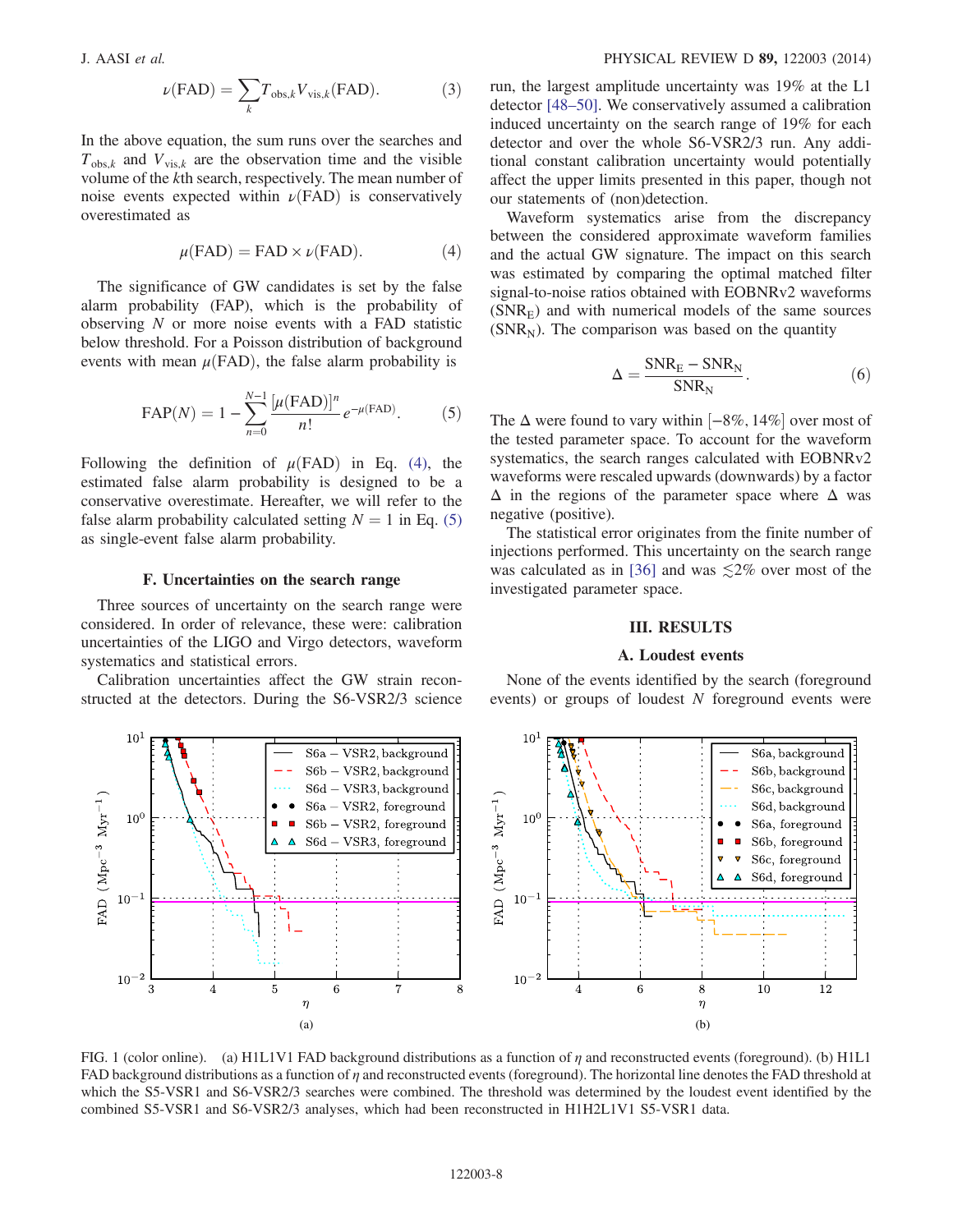$$
\nu(\text{FAD}) = \sum_{k} T_{\text{obs},k} V_{\text{vis},k}(\text{FAD}).\tag{3}
$$

<span id="page-7-1"></span>In the above equation, the sum runs over the searches and  $T_{\text{obs},k}$  and  $V_{\text{vis},k}$  are the observation time and the visible volume of the kth search, respectively. The mean number of noise events expected within  $\nu$ (FAD) is conservatively overestimated as

$$
\mu(\text{FAD}) = \text{FAD} \times \nu(\text{FAD}).\tag{4}
$$

<span id="page-7-2"></span>The significance of GW candidates is set by the false alarm probability (FAP), which is the probability of observing  $N$  or more noise events with a FAD statistic below threshold. For a Poisson distribution of background events with mean  $\mu$ (FAD), the false alarm probability is

$$
FAP(N) = 1 - \sum_{n=0}^{N-1} \frac{\left[\mu(\text{FAD})\right]^n}{n!} e^{-\mu(\text{FAD})}.
$$
 (5)

Following the definition of  $\mu$ (FAD) in Eq. [\(4\),](#page-7-1) the estimated false alarm probability is designed to be a conservative overestimate. Hereafter, we will refer to the false alarm probability calculated setting  $N = 1$  in Eq. [\(5\)](#page-7-2) as single-event false alarm probability.

### F. Uncertainties on the search range

<span id="page-7-4"></span>Three sources of uncertainty on the search range were considered. In order of relevance, these were: calibration uncertainties of the LIGO and Virgo detectors, waveform systematics and statistical errors.

Calibration uncertainties affect the GW strain reconstructed at the detectors. During the S6-VSR2/3 science run, the largest amplitude uncertainty was 19% at the L1 detector [\[48](#page-13-18)–50]. We conservatively assumed a calibration induced uncertainty on the search range of 19% for each detector and over the whole S6-VSR2/3 run. Any additional constant calibration uncertainty would potentially affect the upper limits presented in this paper, though not our statements of (non)detection.

Waveform systematics arise from the discrepancy between the considered approximate waveform families and the actual GW signature. The impact on this search was estimated by comparing the optimal matched filter signal-to-noise ratios obtained with EOBNRv2 waveforms  $(SNR<sub>E</sub>)$  and with numerical models of the same sources  $(SNR_N)$ . The comparison was based on the quantity

$$
\Delta = \frac{\text{SNR}_{\text{E}} - \text{SNR}_{\text{N}}}{\text{SNR}_{\text{N}}}.\tag{6}
$$

The  $\Delta$  were found to vary within [−8%, 14%] over most of the tested parameter space. To account for the waveform systematics, the search ranges calculated with EOBNRv2 waveforms were rescaled upwards (downwards) by a factor  $\Delta$  in the regions of the parameter space where  $\Delta$  was negative (positive).

The statistical error originates from the finite number of injections performed. This uncertainty on the search range was calculated as in [\[36\]](#page-13-11) and was  $\leq 2\%$  over most of the investigated parameter space.

### III. RESULTS

#### A. Loudest events

<span id="page-7-5"></span><span id="page-7-0"></span>None of the events identified by the search (foreground events) or groups of loudest N foreground events were

<span id="page-7-3"></span>

FIG. 1 (color online). (a) H1L1V1 FAD background distributions as a function of  $\eta$  and reconstructed events (foreground). (b) H1L1 FAD background distributions as a function of  $\eta$  and reconstructed events (foreground). The horizontal line denotes the FAD threshold at which the S5-VSR1 and S6-VSR2/3 searches were combined. The threshold was determined by the loudest event identified by the combined S5-VSR1 and S6-VSR2/3 analyses, which had been reconstructed in H1H2L1V1 S5-VSR1 data.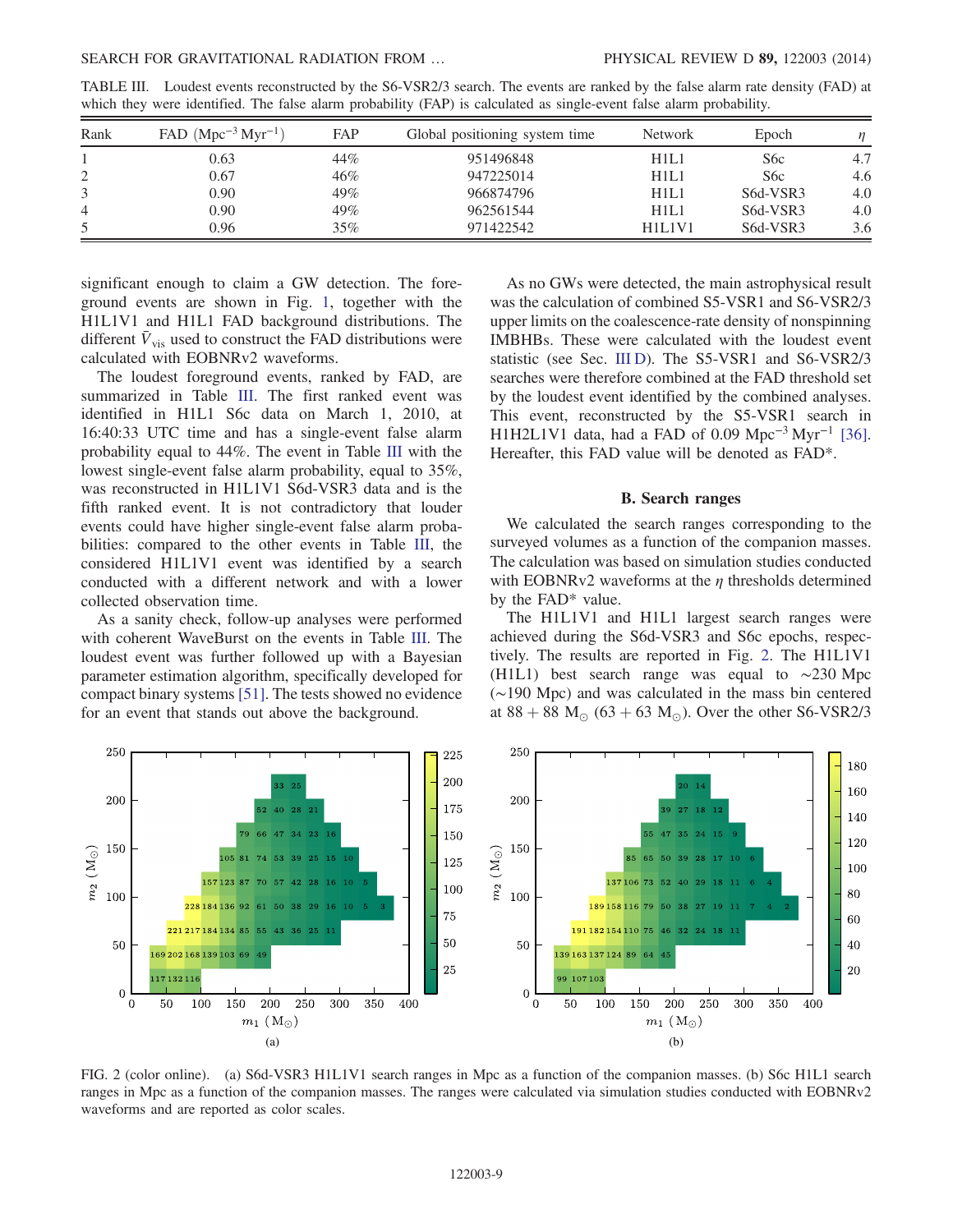<span id="page-8-0"></span>TABLE III. Loudest events reconstructed by the S6-VSR2/3 search. The events are ranked by the false alarm rate density (FAD) at which they were identified. The false alarm probability (FAP) is calculated as single-event false alarm probability.

| Rank           | FAD $(Mpc^{-3} Myr^{-1})$ | <b>FAP</b> | Global positioning system time | <b>Network</b> | Epoch    | п   |
|----------------|---------------------------|------------|--------------------------------|----------------|----------|-----|
|                | 0.63                      | 44%        | 951496848                      | H1L1           | S6c      | 4.7 |
|                | 0.67                      | 46%        | 947225014                      | H1L1           | S6c      | 4.6 |
|                | 0.90                      | 49%        | 966874796                      | H1L1           | S6d-VSR3 | 4.0 |
| $\overline{4}$ | 0.90                      | 49%        | 962561544                      | H1L1           | S6d-VSR3 | 4.0 |
|                | 0.96                      | 35%        | 971422542                      | H1L1V1         | S6d-VSR3 | 3.6 |

significant enough to claim a GW detection. The foreground events are shown in Fig. [1,](#page-7-3) together with the H1L1V1 and H1L1 FAD background distributions. The different  $\bar{V}_{\text{vis}}$  used to construct the FAD distributions were calculated with EOBNRv2 waveforms.

The loudest foreground events, ranked by FAD, are summarized in Table [III](#page-8-0). The first ranked event was identified in H1L1 S6c data on March 1, 2010, at 16:40:33 UTC time and has a single-event false alarm probability equal to 44%. The event in Table [III](#page-8-0) with the lowest single-event false alarm probability, equal to 35%, was reconstructed in H1L1V1 S6d-VSR3 data and is the fifth ranked event. It is not contradictory that louder events could have higher single-event false alarm probabilities: compared to the other events in Table [III](#page-8-0), the considered H1L1V1 event was identified by a search conducted with a different network and with a lower collected observation time.

As a sanity check, follow-up analyses were performed with coherent WaveBurst on the events in Table [III](#page-8-0). The loudest event was further followed up with a Bayesian parameter estimation algorithm, specifically developed for compact binary systems [\[51\]](#page-13-19). The tests showed no evidence for an event that stands out above the background.

As no GWs were detected, the main astrophysical result was the calculation of combined S5-VSR1 and S6-VSR2/3 upper limits on the coalescence-rate density of nonspinning IMBHBs. These were calculated with the loudest event statistic (see Sec. [III D](#page-9-0)). The S5-VSR1 and S6-VSR2/3 searches were therefore combined at the FAD threshold set by the loudest event identified by the combined analyses. This event, reconstructed by the S5-VSR1 search in H1H2L1V1 data, had a FAD of 0.09 Mpc<sup>-3</sup> Myr<sup>-1</sup> [\[36\]](#page-13-11). Hereafter, this FAD value will be denoted as FAD\*.

#### B. Search ranges

<span id="page-8-2"></span>We calculated the search ranges corresponding to the surveyed volumes as a function of the companion masses. The calculation was based on simulation studies conducted with EOBNRv2 waveforms at the  $\eta$  thresholds determined by the FAD\* value.

The H1L1V1 and H1L1 largest search ranges were achieved during the S6d-VSR3 and S6c epochs, respectively. The results are reported in Fig. [2](#page-8-1). The H1L1V1 (H1L1) best search range was equal to ∼230 Mpc (∼190 Mpc) and was calculated in the mass bin centered at 88 + 88  $M_{\odot}$  (63 + 63  $M_{\odot}$ ). Over the other S6-VSR2/3

<span id="page-8-1"></span>

FIG. 2 (color online). (a) S6d-VSR3 H1L1V1 search ranges in Mpc as a function of the companion masses. (b) S6c H1L1 search ranges in Mpc as a function of the companion masses. The ranges were calculated via simulation studies conducted with EOBNRv2 waveforms and are reported as color scales.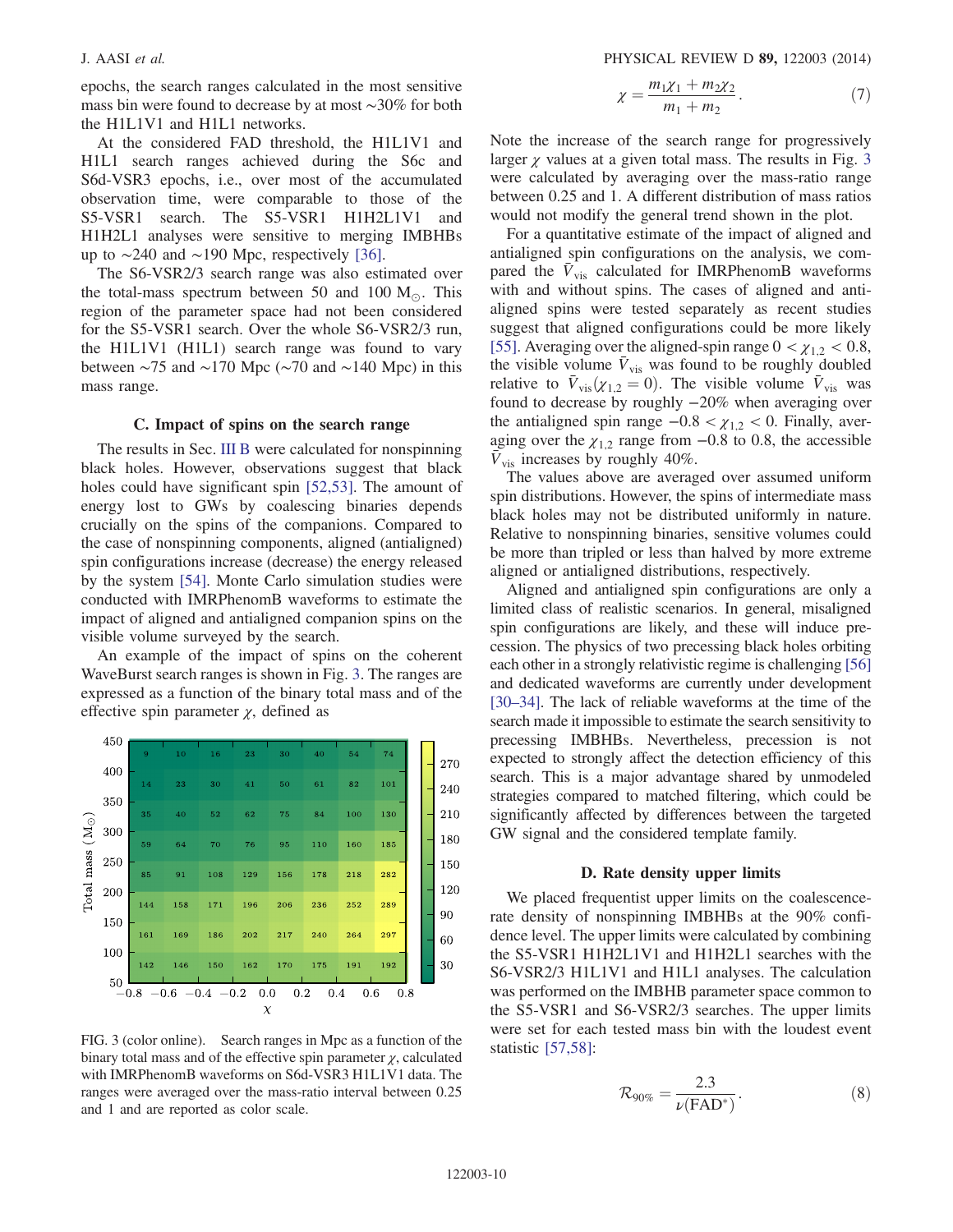epochs, the search ranges calculated in the most sensitive mass bin were found to decrease by at most ∼30% for both the H1L1V1 and H1L1 networks.

At the considered FAD threshold, the H1L1V1 and H1L1 search ranges achieved during the S6c and S6d-VSR3 epochs, i.e., over most of the accumulated observation time, were comparable to those of the S5-VSR1 search. The S5-VSR1 H1H2L1V1 and H1H2L1 analyses were sensitive to merging IMBHBs up to  $\sim$ 240 and  $\sim$ 190 Mpc, respectively [\[36\]](#page-13-11).

The S6-VSR2/3 search range was also estimated over the total-mass spectrum between 50 and 100  $M_{\odot}$ . This region of the parameter space had not been considered for the S5-VSR1 search. Over the whole S6-VSR2/3 run, the H1L1V1 (H1L1) search range was found to vary between  $\sim$ 75 and  $\sim$ 170 Mpc ( $\sim$ 70 and  $\sim$ 140 Mpc) in this mass range.

### C. Impact of spins on the search range

The results in Sec. [III B](#page-8-2) were calculated for nonspinning black holes. However, observations suggest that black holes could have significant spin [\[52,53\].](#page-13-20) The amount of energy lost to GWs by coalescing binaries depends crucially on the spins of the companions. Compared to the case of nonspinning components, aligned (antialigned) spin configurations increase (decrease) the energy released by the system [\[54\].](#page-13-21) Monte Carlo simulation studies were conducted with IMRPhenomB waveforms to estimate the impact of aligned and antialigned companion spins on the visible volume surveyed by the search.

An example of the impact of spins on the coherent WaveBurst search ranges is shown in Fig. [3.](#page-9-1) The ranges are expressed as a function of the binary total mass and of the effective spin parameter  $\chi$ , defined as

<span id="page-9-1"></span>

FIG. 3 (color online). Search ranges in Mpc as a function of the binary total mass and of the effective spin parameter  $\chi$ , calculated with IMRPhenomB waveforms on S6d-VSR3 H1L1V1 data. The ranges were averaged over the mass-ratio interval between 0.25 and 1 and are reported as color scale.

$$
\chi = \frac{m_1 \chi_1 + m_2 \chi_2}{m_1 + m_2}.
$$
 (7)

Note the increase of the search range for progressively larger  $\gamma$  values at a given total mass. The results in Fig. [3](#page-9-1) were calculated by averaging over the mass-ratio range between 0.25 and 1. A different distribution of mass ratios would not modify the general trend shown in the plot.

For a quantitative estimate of the impact of aligned and antialigned spin configurations on the analysis, we compared the  $\bar{V}_{\text{vis}}$  calculated for IMRPhenomB waveforms with and without spins. The cases of aligned and antialigned spins were tested separately as recent studies suggest that aligned configurations could be more likely [\[55\]](#page-13-22). Averaging over the aligned-spin range  $0 < \chi_{12} < 0.8$ , the visible volume  $V_{\text{vis}}$  was found to be roughly doubled relative to  $\bar{V}_{\text{vis}}(\chi_{1,2} = 0)$ . The visible volume  $\bar{V}_{\text{vis}}$  was found to decrease by roughly −20% when averaging over the antialigned spin range  $-0.8 < \chi_{1,2} < 0$ . Finally, averaging over the  $\chi_{1,2}$  range from −0.8 to 0.8, the accessible  $\bar{V}_{\text{vis}}$  increases by roughly 40%.

The values above are averaged over assumed uniform spin distributions. However, the spins of intermediate mass black holes may not be distributed uniformly in nature. Relative to nonspinning binaries, sensitive volumes could be more than tripled or less than halved by more extreme aligned or antialigned distributions, respectively.

Aligned and antialigned spin configurations are only a limited class of realistic scenarios. In general, misaligned spin configurations are likely, and these will induce precession. The physics of two precessing black holes orbiting each other in a strongly relativistic regime is challenging [\[56\]](#page-13-23) and dedicated waveforms are currently under development [\[30](#page-13-9)–34]. The lack of reliable waveforms at the time of the search made it impossible to estimate the search sensitivity to precessing IMBHBs. Nevertheless, precession is not expected to strongly affect the detection efficiency of this search. This is a major advantage shared by unmodeled strategies compared to matched filtering, which could be significantly affected by differences between the targeted GW signal and the considered template family.

#### D. Rate density upper limits

<span id="page-9-2"></span><span id="page-9-0"></span>We placed frequentist upper limits on the coalescencerate density of nonspinning IMBHBs at the 90% confidence level. The upper limits were calculated by combining the S5-VSR1 H1H2L1V1 and H1H2L1 searches with the S6-VSR2/3 H1L1V1 and H1L1 analyses. The calculation was performed on the IMBHB parameter space common to the S5-VSR1 and S6-VSR2/3 searches. The upper limits were set for each tested mass bin with the loudest event statistic [\[57,58\]](#page-13-24):

$$
\mathcal{R}_{90\%} = \frac{2.3}{\nu(\text{FAD}^*)}.
$$
 (8)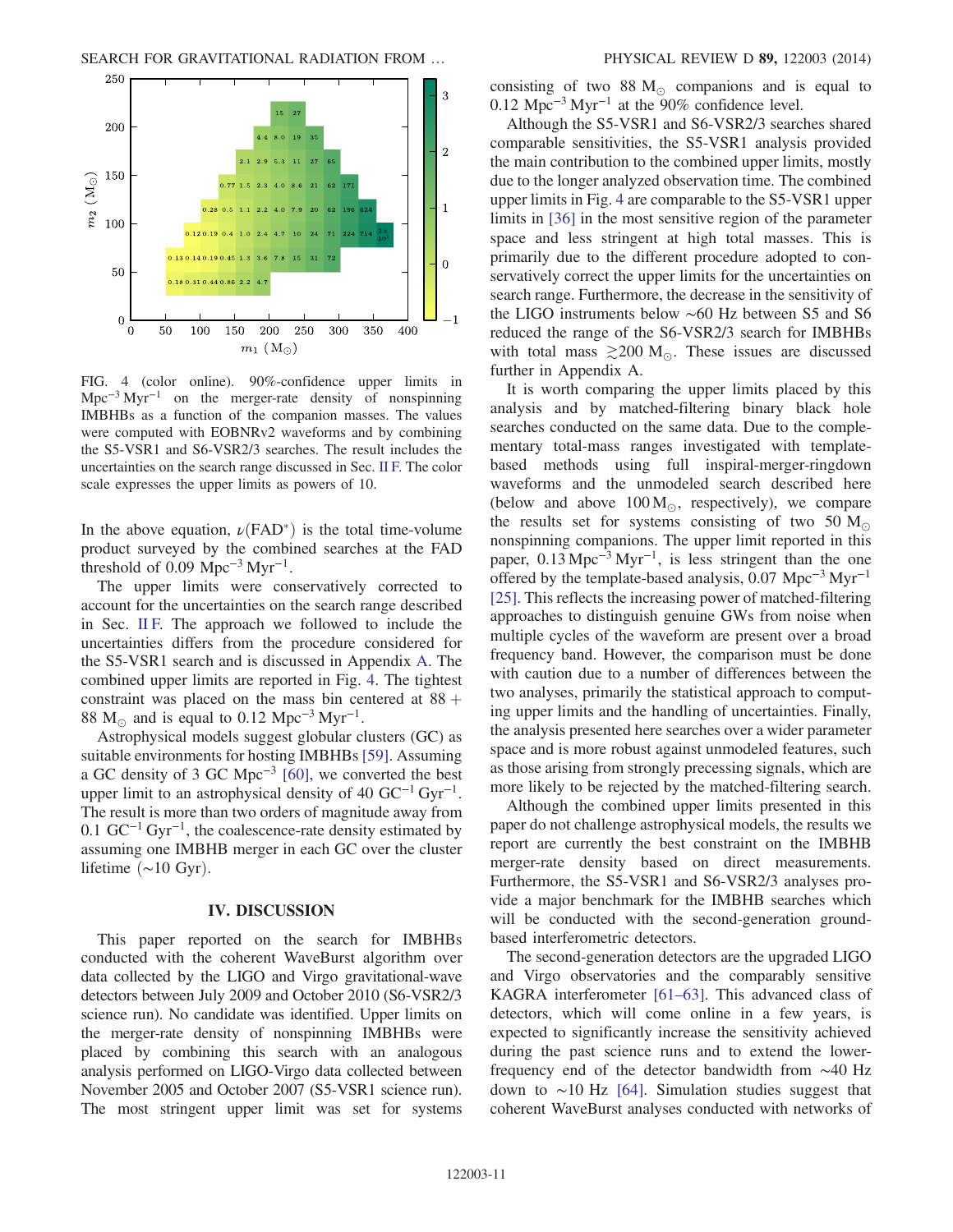<span id="page-10-1"></span>

FIG. 4 (color online). 90%-confidence upper limits in  $Mpc^{-3} Myr^{-1}$  on the merger-rate density of nonspinning IMBHBs as a function of the companion masses. The values were computed with EOBNRv2 waveforms and by combining the S5-VSR1 and S6-VSR2/3 searches. The result includes the uncertainties on the search range discussed in Sec. [II F.](#page-7-4) The color scale expresses the upper limits as powers of 10.

In the above equation,  $\nu$ (FAD<sup>\*</sup>) is the total time-volume product surveyed by the combined searches at the FAD threshold of 0.09 Mpc<sup>-3</sup> Myr<sup>-1</sup>.

The upper limits were conservatively corrected to account for the uncertainties on the search range described in Sec. [II F.](#page-7-4) The approach we followed to include the uncertainties differs from the procedure considered for the S5-VSR1 search and is discussed in Appendix [A](#page-11-0). The combined upper limits are reported in Fig. [4](#page-10-1). The tightest constraint was placed on the mass bin centered at  $88 +$ 88 M<sub>o</sub> and is equal to 0.12 Mpc<sup>-3</sup> Myr<sup>-1</sup>.

Astrophysical models suggest globular clusters (GC) as suitable environments for hosting IMBHBs [\[59\].](#page-14-0) Assuming a GC density of 3 GC Mpc<sup>−</sup><sup>3</sup> [\[60\],](#page-14-1) we converted the best upper limit to an astrophysical density of 40  $GC^{-1} Gyr^{-1}$ . The result is more than two orders of magnitude away from 0.1  $GC^{-1} Gyr^{-1}$ , the coalescence-rate density estimated by assuming one IMBHB merger in each GC over the cluster lifetime  $(\sim 10 \text{ Gyr})$ .

#### IV. DISCUSSION

<span id="page-10-0"></span>This paper reported on the search for IMBHBs conducted with the coherent WaveBurst algorithm over data collected by the LIGO and Virgo gravitational-wave detectors between July 2009 and October 2010 (S6-VSR2/3 science run). No candidate was identified. Upper limits on the merger-rate density of nonspinning IMBHBs were placed by combining this search with an analogous analysis performed on LIGO-Virgo data collected between November 2005 and October 2007 (S5-VSR1 science run). The most stringent upper limit was set for systems consisting of two 88  $M_{\odot}$  companions and is equal to 0.12 Mpc<sup>−</sup><sup>3</sup> Myr<sup>−</sup><sup>1</sup> at the 90% confidence level.

Although the S5-VSR1 and S6-VSR2/3 searches shared comparable sensitivities, the S5-VSR1 analysis provided the main contribution to the combined upper limits, mostly due to the longer analyzed observation time. The combined upper limits in Fig. [4](#page-10-1) are comparable to the S5-VSR1 upper limits in [\[36\]](#page-13-11) in the most sensitive region of the parameter space and less stringent at high total masses. This is primarily due to the different procedure adopted to conservatively correct the upper limits for the uncertainties on search range. Furthermore, the decrease in the sensitivity of the LIGO instruments below ∼60 Hz between S5 and S6 reduced the range of the S6-VSR2/3 search for IMBHBs with total mass  $\geq 200$  M<sub>o</sub>. These issues are discussed further in Appendix A.

It is worth comparing the upper limits placed by this analysis and by matched-filtering binary black hole searches conducted on the same data. Due to the complementary total-mass ranges investigated with templatebased methods using full inspiral-merger-ringdown waveforms and the unmodeled search described here (below and above  $100 M_{\odot}$ , respectively), we compare the results set for systems consisting of two 50  $M_{\odot}$ nonspinning companions. The upper limit reported in this paper, 0.13 Mpc<sup>−</sup><sup>3</sup> Myr<sup>−</sup><sup>1</sup>, is less stringent than the one offered by the template-based analysis,  $0.07 \text{ Mpc}^{-3} \text{ Myr}^{-1}$ [\[25\]](#page-13-25). This reflects the increasing power of matched-filtering approaches to distinguish genuine GWs from noise when multiple cycles of the waveform are present over a broad frequency band. However, the comparison must be done with caution due to a number of differences between the two analyses, primarily the statistical approach to computing upper limits and the handling of uncertainties. Finally, the analysis presented here searches over a wider parameter space and is more robust against unmodeled features, such as those arising from strongly precessing signals, which are more likely to be rejected by the matched-filtering search.

Although the combined upper limits presented in this paper do not challenge astrophysical models, the results we report are currently the best constraint on the IMBHB merger-rate density based on direct measurements. Furthermore, the S5-VSR1 and S6-VSR2/3 analyses provide a major benchmark for the IMBHB searches which will be conducted with the second-generation groundbased interferometric detectors.

The second-generation detectors are the upgraded LIGO and Virgo observatories and the comparably sensitive KAGRA interferometer [61–[63\].](#page-14-2) This advanced class of detectors, which will come online in a few years, is expected to significantly increase the sensitivity achieved during the past science runs and to extend the lowerfrequency end of the detector bandwidth from ∼40 Hz down to ∼10 Hz [\[64\].](#page-14-3) Simulation studies suggest that coherent WaveBurst analyses conducted with networks of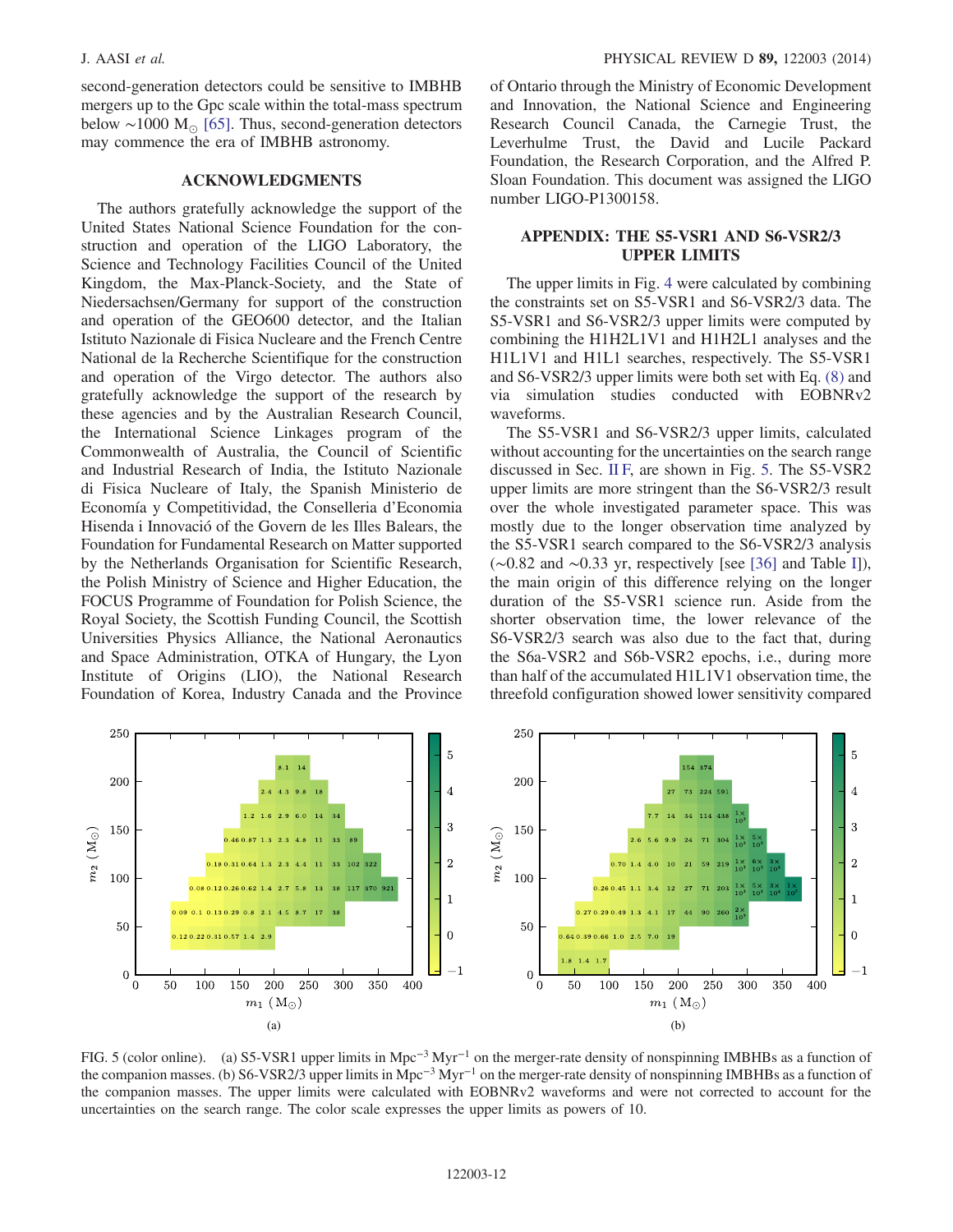second-generation detectors could be sensitive to IMBHB mergers up to the Gpc scale within the total-mass spectrum below ~1000  $M_{\odot}$  [\[65\]](#page-14-4). Thus, second-generation detectors may commence the era of IMBHB astronomy.

### ACKNOWLEDGMENTS

The authors gratefully acknowledge the support of the United States National Science Foundation for the construction and operation of the LIGO Laboratory, the Science and Technology Facilities Council of the United Kingdom, the Max-Planck-Society, and the State of Niedersachsen/Germany for support of the construction and operation of the GEO600 detector, and the Italian Istituto Nazionale di Fisica Nucleare and the French Centre National de la Recherche Scientifique for the construction and operation of the Virgo detector. The authors also gratefully acknowledge the support of the research by these agencies and by the Australian Research Council, the International Science Linkages program of the Commonwealth of Australia, the Council of Scientific and Industrial Research of India, the Istituto Nazionale di Fisica Nucleare of Italy, the Spanish Ministerio de Economía y Competitividad, the Conselleria d'Economia Hisenda i Innovació of the Govern de les Illes Balears, the Foundation for Fundamental Research on Matter supported by the Netherlands Organisation for Scientific Research, the Polish Ministry of Science and Higher Education, the FOCUS Programme of Foundation for Polish Science, the Royal Society, the Scottish Funding Council, the Scottish Universities Physics Alliance, the National Aeronautics and Space Administration, OTKA of Hungary, the Lyon Institute of Origins (LIO), the National Research Foundation of Korea, Industry Canada and the Province of Ontario through the Ministry of Economic Development and Innovation, the National Science and Engineering Research Council Canada, the Carnegie Trust, the Leverhulme Trust, the David and Lucile Packard Foundation, the Research Corporation, and the Alfred P. Sloan Foundation. This document was assigned the LIGO number LIGO-P1300158.

## <span id="page-11-0"></span>APPENDIX: THE S5-VSR1 AND S6-VSR2/3 UPPER LIMITS

The upper limits in Fig. [4](#page-10-1) were calculated by combining the constraints set on S5-VSR1 and S6-VSR2/3 data. The S5-VSR1 and S6-VSR2/3 upper limits were computed by combining the H1H2L1V1 and H1H2L1 analyses and the H1L1V1 and H1L1 searches, respectively. The S5-VSR1 and S6-VSR2/3 upper limits were both set with Eq. [\(8\)](#page-9-2) and via simulation studies conducted with EOBNRv2 waveforms.

The S5-VSR1 and S6-VSR2/3 upper limits, calculated without accounting for the uncertainties on the search range discussed in Sec. [II F,](#page-7-4) are shown in Fig. [5](#page-11-1). The S5-VSR2 upper limits are more stringent than the S6-VSR2/3 result over the whole investigated parameter space. This was mostly due to the longer observation time analyzed by the S5-VSR1 search compared to the S6-VSR2/3 analysis (∼0.82 and ∼0.33 yr, respectively [see [\[36\]](#page-13-11) and Table [I\]](#page-5-1)), the main origin of this difference relying on the longer duration of the S5-VSR1 science run. Aside from the shorter observation time, the lower relevance of the S6-VSR2/3 search was also due to the fact that, during the S6a-VSR2 and S6b-VSR2 epochs, i.e., during more than half of the accumulated H1L1V1 observation time, the threefold configuration showed lower sensitivity compared

<span id="page-11-1"></span>

FIG. 5 (color online). (a) S5-VSR1 upper limits in Mpc<sup>−</sup><sup>3</sup> Myr<sup>−</sup><sup>1</sup> on the merger-rate density of nonspinning IMBHBs as a function of the companion masses. (b) S6-VSR2/3 upper limits in Mpc<sup>−</sup><sup>3</sup> Myr<sup>−</sup><sup>1</sup> on the merger-rate density of nonspinning IMBHBs as a function of the companion masses. The upper limits were calculated with EOBNRv2 waveforms and were not corrected to account for the uncertainties on the search range. The color scale expresses the upper limits as powers of 10.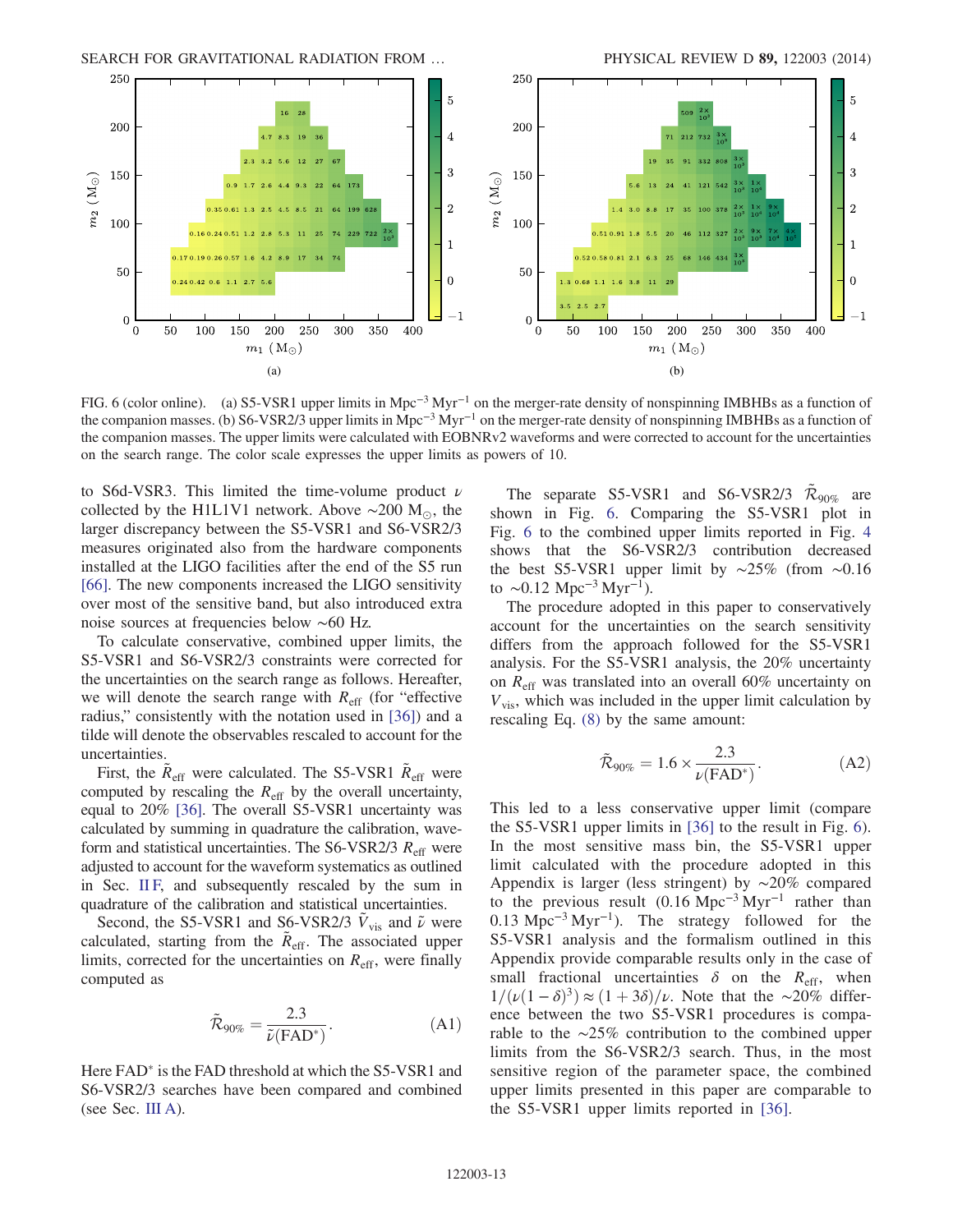SEARCH FOR GRAVITATIONAL RADIATION FROM ... PHYSICAL REVIEW D 89, 122003 (2014)

<span id="page-12-0"></span>

FIG. 6 (color online). (a) S5-VSR1 upper limits in Mpc<sup>−</sup><sup>3</sup> Myr<sup>−</sup><sup>1</sup> on the merger-rate density of nonspinning IMBHBs as a function of the companion masses. (b) S6-VSR2/3 upper limits in Mpc<sup>−</sup><sup>3</sup> Myr<sup>−</sup><sup>1</sup> on the merger-rate density of nonspinning IMBHBs as a function of the companion masses. The upper limits were calculated with EOBNRv2 waveforms and were corrected to account for the uncertainties on the search range. The color scale expresses the upper limits as powers of 10.

to S6d-VSR3. This limited the time-volume product  $\nu$ collected by the H1L1V1 network. Above ∼200 M<sub>☉</sub>, the larger discrepancy between the S5-VSR1 and S6-VSR2/3 measures originated also from the hardware components installed at the LIGO facilities after the end of the S5 run [\[66\]](#page-14-5). The new components increased the LIGO sensitivity over most of the sensitive band, but also introduced extra noise sources at frequencies below ∼60 Hz.

To calculate conservative, combined upper limits, the S5-VSR1 and S6-VSR2/3 constraints were corrected for the uncertainties on the search range as follows. Hereafter, we will denote the search range with  $R_{\text{eff}}$  (for "effective") radius," consistently with the notation used in [\[36\]](#page-13-11)) and a tilde will denote the observables rescaled to account for the uncertainties.

First, the  $R_{\text{eff}}$  were calculated. The S5-VSR1  $R_{\text{eff}}$  were computed by rescaling the  $R_{\text{eff}}$  by the overall uncertainty, equal to 20% [\[36\].](#page-13-11) The overall S5-VSR1 uncertainty was calculated by summing in quadrature the calibration, waveform and statistical uncertainties. The S6-VSR2/3  $R_{\text{eff}}$  were adjusted to account for the waveform systematics as outlined in Sec. [II F,](#page-7-4) and subsequently rescaled by the sum in quadrature of the calibration and statistical uncertainties.

Second, the S5-VSR1 and S6-VSR2/3  $\dot{V}_{vis}$  and  $\tilde{\nu}$  were calculated, starting from the  $R_{\text{eff}}$ . The associated upper limits, corrected for the uncertainties on  $R_{\text{eff}}$ , were finally computed as

$$
\tilde{\mathcal{R}}_{90\%} = \frac{2.3}{\tilde{\nu}(\text{FAD}^*)}.
$$
\n(A1)

Here FAD<sup>\*</sup> is the FAD threshold at which the S5-VSR1 and S6-VSR2/3 searches have been compared and combined (see Sec. [III A](#page-7-5)).

The separate S5-VSR1 and S6-VSR2/3  $\mathcal{R}_{90\%}$  are shown in Fig. [6](#page-12-0). Comparing the S5-VSR1 plot in Fig. [6](#page-12-0) to the combined upper limits reported in Fig. [4](#page-10-1) shows that the S6-VSR2/3 contribution decreased the best S5-VSR1 upper limit by ∼25% (from ∼0.16 to ~0.12 Mpc<sup>-3</sup> Myr<sup>-1</sup>).

The procedure adopted in this paper to conservatively account for the uncertainties on the search sensitivity differs from the approach followed for the S5-VSR1 analysis. For the S5-VSR1 analysis, the 20% uncertainty on  $R_{\text{eff}}$  was translated into an overall 60% uncertainty on  $V_{\text{vis}}$ , which was included in the upper limit calculation by rescaling Eq. [\(8\)](#page-9-2) by the same amount:

$$
\tilde{\mathcal{R}}_{90\%} = 1.6 \times \frac{2.3}{\nu(\text{FAD}^*)}.\tag{A2}
$$

This led to a less conservative upper limit (compare the S5-VSR1 upper limits in [\[36\]](#page-13-11) to the result in Fig. [6\)](#page-12-0). In the most sensitive mass bin, the S5-VSR1 upper limit calculated with the procedure adopted in this Appendix is larger (less stringent) by ∼20% compared to the previous result  $(0.16 \text{ Mpc}^{-3} \text{ Myr}^{-1})$  rather than 0.13 Mpc<sup>-3</sup> Myr<sup>-1</sup>). The strategy followed for the S5-VSR1 analysis and the formalism outlined in this Appendix provide comparable results only in the case of small fractional uncertainties  $\delta$  on the  $R_{\text{eff}}$ , when  $1/(\nu(1-\delta)^3) \approx (1+3\delta)/\nu$ . Note that the ∼20% difference between the two S5-VSR1 procedures is comparable to the ∼25% contribution to the combined upper limits from the S6-VSR2/3 search. Thus, in the most sensitive region of the parameter space, the combined upper limits presented in this paper are comparable to the S5-VSR1 upper limits reported in [\[36\].](#page-13-11)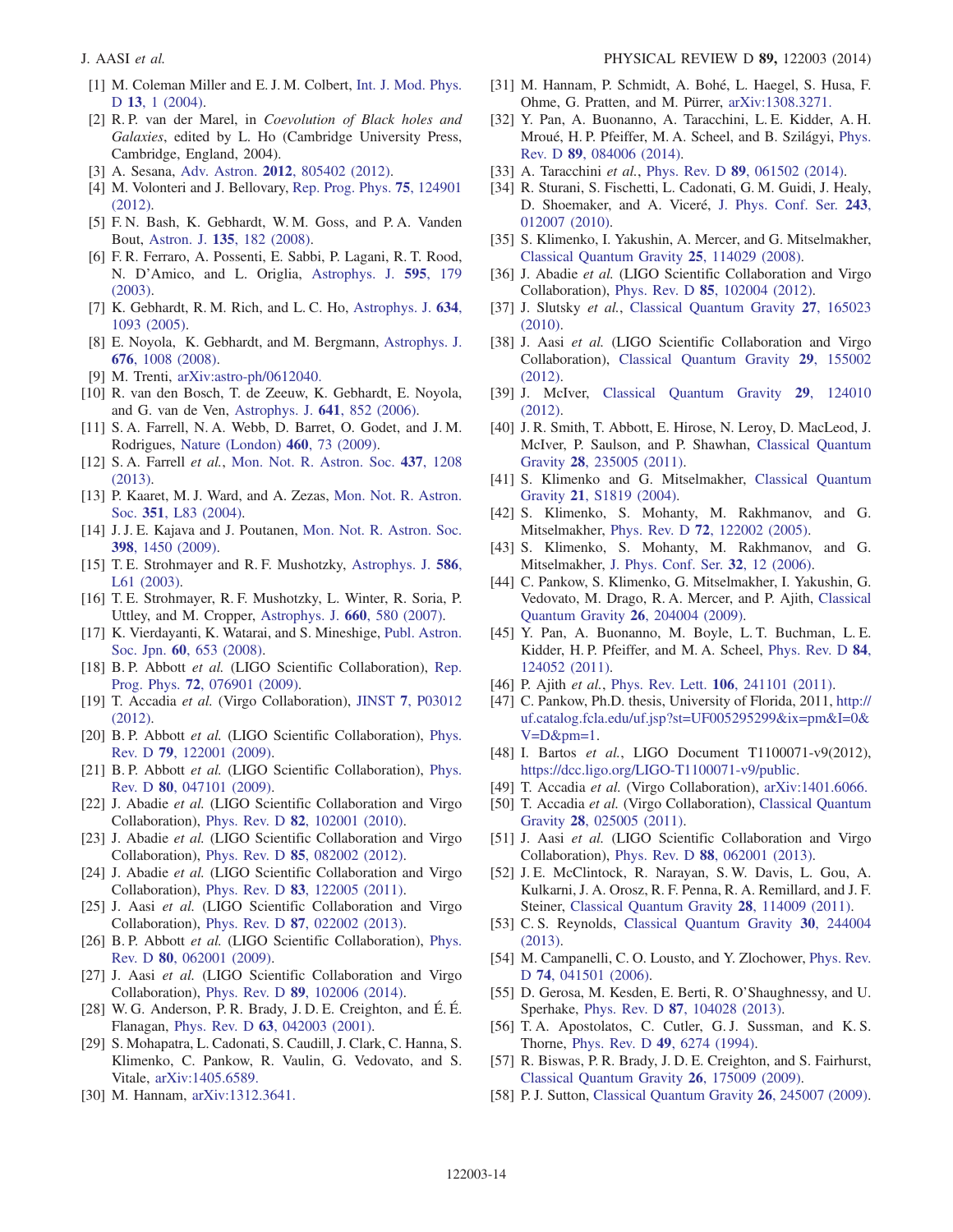- <span id="page-13-0"></span>[1] M. Coleman Miller and E. J. M. Colbert, [Int. J. Mod. Phys.](http://dx.doi.org/10.1142/S0218271804004426) D 13[, 1 \(2004\)](http://dx.doi.org/10.1142/S0218271804004426).
- [2] R.P. van der Marel, in Coevolution of Black holes and Galaxies, edited by L. Ho (Cambridge University Press, Cambridge, England, 2004).
- <span id="page-13-1"></span>[3] A. Sesana, Adv. Astron. 2012[, 805402 \(2012\).](http://dx.doi.org/10.1155/2012/805402)
- [4] M. Volonteri and J. Bellovary, [Rep. Prog. Phys.](http://dx.doi.org/10.1088/0034-4885/75/12/124901) **75**, 124901 [\(2012\).](http://dx.doi.org/10.1088/0034-4885/75/12/124901)
- <span id="page-13-2"></span>[5] F. N. Bash, K. Gebhardt, W. M. Goss, and P. A. Vanden Bout, Astron. J. 135[, 182 \(2008\)](http://dx.doi.org/10.1088/0004-6256/135/1/182).
- [6] F. R. Ferraro, A. Possenti, E. Sabbi, P. Lagani, R. T. Rood, N. D'Amico, and L. Origlia, [Astrophys. J.](http://dx.doi.org/10.1086/377352) 595, 179 [\(2003\).](http://dx.doi.org/10.1086/377352)
- [7] K. Gebhardt, R. M. Rich, and L. C. Ho, [Astrophys. J.](http://dx.doi.org/10.1086/497023) 634, [1093 \(2005\)](http://dx.doi.org/10.1086/497023).
- [8] E. Noyola, K. Gebhardt, and M. Bergmann, [Astrophys. J.](http://dx.doi.org/10.1086/529002) 676[, 1008 \(2008\)](http://dx.doi.org/10.1086/529002).
- [9] M. Trenti, [arXiv:astro-ph/0612040.](http://arXiv.org/abs/astro-ph/0612040)
- [10] R. van den Bosch, T. de Zeeuw, K. Gebhardt, E. Noyola, and G. van de Ven, [Astrophys. J.](http://dx.doi.org/10.1086/500644) 641, 852 (2006).
- <span id="page-13-3"></span>[11] S. A. Farrell, N. A. Webb, D. Barret, O. Godet, and J. M. Rodrigues, [Nature \(London\)](http://dx.doi.org/10.1038/nature08083) 460, 73 (2009).
- [12] S. A. Farrell et al., [Mon. Not. R. Astron. Soc.](http://dx.doi.org/10.1093/mnras/stt1924) 437, 1208 [\(2013\).](http://dx.doi.org/10.1093/mnras/stt1924)
- [13] P. Kaaret, M. J. Ward, and A. Zezas, [Mon. Not. R. Astron.](http://dx.doi.org/10.1111/j.1365-2966.2004.08020.x) Soc. 351[, L83 \(2004\)](http://dx.doi.org/10.1111/j.1365-2966.2004.08020.x).
- [14] J. J. E. Kajava and J. Poutanen, [Mon. Not. R. Astron. Soc.](http://dx.doi.org/10.1111/j.1365-2966.2009.15215.x) 398[, 1450 \(2009\)](http://dx.doi.org/10.1111/j.1365-2966.2009.15215.x).
- [15] T. E. Strohmayer and R. F. Mushotzky, [Astrophys. J.](http://dx.doi.org/10.1086/374732) 586, [L61 \(2003\)](http://dx.doi.org/10.1086/374732).
- [16] T. E. Strohmayer, R. F. Mushotzky, L. Winter, R. Soria, P. Uttley, and M. Cropper, [Astrophys. J.](http://dx.doi.org/10.1086/512723) 660, 580 (2007).
- [17] K. Vierdayanti, K. Watarai, and S. Mineshige, [Publ. Astron.](http://dx.doi.org/10.1093/pasj/60.3.653) Soc. Jpn. 60[, 653 \(2008\)](http://dx.doi.org/10.1093/pasj/60.3.653).
- <span id="page-13-4"></span>[18] B. P. Abbott et al. (LIGO Scientific Collaboration), [Rep.](http://dx.doi.org/10.1088/0034-4885/72/7/076901) Prog. Phys. 72[, 076901 \(2009\).](http://dx.doi.org/10.1088/0034-4885/72/7/076901)
- [19] T. Accadia et al. (Virgo Collaboration), JINST 7[, P03012](http://dx.doi.org/10.1088/1748-0221/7/03/P03012) [\(2012\).](http://dx.doi.org/10.1088/1748-0221/7/03/P03012)
- <span id="page-13-5"></span>[20] B. P. Abbott et al. (LIGO Scientific Collaboration), [Phys.](http://dx.doi.org/10.1103/PhysRevD.79.122001) Rev. D 79[, 122001 \(2009\)](http://dx.doi.org/10.1103/PhysRevD.79.122001).
- [21] B. P. Abbott et al. (LIGO Scientific Collaboration), [Phys.](http://dx.doi.org/10.1103/PhysRevD.80.047101) Rev. D 80[, 047101 \(2009\)](http://dx.doi.org/10.1103/PhysRevD.80.047101).
- [22] J. Abadie et al. (LIGO Scientific Collaboration and Virgo Collaboration), Phys. Rev. D 82[, 102001 \(2010\)](http://dx.doi.org/10.1103/PhysRevD.82.102001).
- [23] J. Abadie et al. (LIGO Scientific Collaboration and Virgo Collaboration), Phys. Rev. D 85[, 082002 \(2012\)](http://dx.doi.org/10.1103/PhysRevD.85.082002).
- [24] J. Abadie et al. (LIGO Scientific Collaboration and Virgo Collaboration), Phys. Rev. D 83[, 122005 \(2011\)](http://dx.doi.org/10.1103/PhysRevD.83.122005).
- <span id="page-13-25"></span>[25] J. Aasi et al. (LIGO Scientific Collaboration and Virgo Collaboration), Phys. Rev. D 87[, 022002 \(2013\)](http://dx.doi.org/10.1103/PhysRevD.87.022002).
- [26] B. P. Abbott et al. (LIGO Scientific Collaboration), [Phys.](http://dx.doi.org/10.1103/PhysRevD.80.062001) Rev. D 80[, 062001 \(2009\)](http://dx.doi.org/10.1103/PhysRevD.80.062001).
- <span id="page-13-6"></span>[27] J. Aasi et al. (LIGO Scientific Collaboration and Virgo Collaboration), Phys. Rev. D 89[, 102006 \(2014\)](http://dx.doi.org/10.1103/PhysRevD.89.102006).
- <span id="page-13-7"></span>[28] W. G. Anderson, P. R. Brady, J. D. E. Creighton, and É. É. Flanagan, Phys. Rev. D 63[, 042003 \(2001\).](http://dx.doi.org/10.1103/PhysRevD.63.042003)
- <span id="page-13-8"></span>[29] S. Mohapatra, L. Cadonati, S. Caudill, J. Clark, C. Hanna, S. Klimenko, C. Pankow, R. Vaulin, G. Vedovato, and S. Vitale, [arXiv:1405.6589.](http://arXiv.org/abs/1405.6589)
- <span id="page-13-9"></span>[30] M. Hannam, [arXiv:1312.3641.](http://arXiv.org/abs/1312.3641)
- [31] M. Hannam, P. Schmidt, A. Bohé, L. Haegel, S. Husa, F. Ohme, G. Pratten, and M. Pürrer, [arXiv:1308.3271.](http://arXiv.org/abs/1308.3271)
- [32] Y. Pan, A. Buonanno, A. Taracchini, L. E. Kidder, A. H. Mroué, H. P. Pfeiffer, M. A. Scheel, and B. Szilágyi, [Phys.](http://dx.doi.org/10.1103/PhysRevD.89.084006) Rev. D 89[, 084006 \(2014\)](http://dx.doi.org/10.1103/PhysRevD.89.084006).
- [33] A. Taracchini et al., Phys. Rev. D 89[, 061502 \(2014\)](http://dx.doi.org/10.1103/PhysRevD.89.061502).
- [34] R. Sturani, S. Fischetti, L. Cadonati, G. M. Guidi, J. Healy, D. Shoemaker, and A. Viceré, [J. Phys. Conf. Ser.](http://dx.doi.org/10.1088/1742-6596/243/1/012007) 243, [012007 \(2010\).](http://dx.doi.org/10.1088/1742-6596/243/1/012007)
- <span id="page-13-10"></span>[35] S. Klimenko, I. Yakushin, A. Mercer, and G. Mitselmakher, [Classical Quantum Gravity](http://dx.doi.org/10.1088/0264-9381/25/11/114029) 25, 114029 (2008).
- <span id="page-13-11"></span>[36] J. Abadie et al. (LIGO Scientific Collaboration and Virgo Collaboration), Phys. Rev. D 85[, 102004 \(2012\)](http://dx.doi.org/10.1103/PhysRevD.85.102004).
- <span id="page-13-12"></span>[37] J. Slutsky et al., [Classical Quantum Gravity](http://dx.doi.org/10.1088/0264-9381/27/16/165023) 27, 165023 [\(2010\).](http://dx.doi.org/10.1088/0264-9381/27/16/165023)
- [38] J. Aasi et al. (LIGO Scientific Collaboration and Virgo Collaboration), [Classical Quantum Gravity](http://dx.doi.org/10.1088/0264-9381/29/15/155002) 29, 155002 [\(2012\).](http://dx.doi.org/10.1088/0264-9381/29/15/155002)
- [39] J. McIver, [Classical Quantum Gravity](http://dx.doi.org/10.1088/0264-9381/29/12/124010) 29, 124010 [\(2012\).](http://dx.doi.org/10.1088/0264-9381/29/12/124010)
- <span id="page-13-13"></span>[40] J. R. Smith, T. Abbott, E. Hirose, N. Leroy, D. MacLeod, J. McIver, P. Saulson, and P. Shawhan, [Classical Quantum](http://dx.doi.org/10.1088/0264-9381/28/23/235005) Gravity 28[, 235005 \(2011\).](http://dx.doi.org/10.1088/0264-9381/28/23/235005)
- <span id="page-13-14"></span>[41] S. Klimenko and G. Mitselmakher, [Classical Quantum](http://dx.doi.org/10.1088/0264-9381/21/20/025) Gravity 21[, S1819 \(2004\).](http://dx.doi.org/10.1088/0264-9381/21/20/025)
- [42] S. Klimenko, S. Mohanty, M. Rakhmanov, and G. Mitselmakher, Phys. Rev. D 72[, 122002 \(2005\)](http://dx.doi.org/10.1103/PhysRevD.72.122002).
- [43] S. Klimenko, S. Mohanty, M. Rakhmanov, and G. Mitselmakher, [J. Phys. Conf. Ser.](http://dx.doi.org/10.1088/1742-6596/32/1/003) 32, 12 (2006).
- <span id="page-13-15"></span>[44] C. Pankow, S. Klimenko, G. Mitselmakher, I. Yakushin, G. Vedovato, M. Drago, R. A. Mercer, and P. Ajith, [Classical](http://dx.doi.org/10.1088/0264-9381/26/20/204004) [Quantum Gravity](http://dx.doi.org/10.1088/0264-9381/26/20/204004) 26, 204004 (2009).
- <span id="page-13-16"></span>[45] Y. Pan, A. Buonanno, M. Boyle, L. T. Buchman, L. E. Kidder, H. P. Pfeiffer, and M. A. Scheel, [Phys. Rev. D](http://dx.doi.org/10.1103/PhysRevD.84.124052) 84, [124052 \(2011\).](http://dx.doi.org/10.1103/PhysRevD.84.124052)
- <span id="page-13-17"></span>[46] P. Ajith *et al.*, Phys. Rev. Lett. **106**[, 241101 \(2011\).](http://dx.doi.org/10.1103/PhysRevLett.106.241101)
- [47] C. Pankow, Ph.D. thesis, University of Florida, 2011, [http://](http://uf.catalog.fcla.edu/uf.jsp?st=UF005295299&ix=pm&I=0&V=D&pm=1) [uf.catalog.fcla.edu/uf.jsp?st=UF005295299&ix=pm&I=0&](http://uf.catalog.fcla.edu/uf.jsp?st=UF005295299&ix=pm&I=0&V=D&pm=1)  $V=D\±=1.$
- <span id="page-13-18"></span>[48] I. Bartos et al., LIGO Document T1100071-v9(2012), [https://dcc.ligo.org/LIGO](https://dcc.ligo.org/LIGO-T1100071-v9/public)-T1100071-v9/public.
- [49] T. Accadia et al. (Virgo Collaboration), [arXiv:1401.6066.](http://arXiv.org/abs/1401.6066)
- [50] T. Accadia et al. (Virgo Collaboration), [Classical Quantum](http://dx.doi.org/10.1088/0264-9381/28/2/025005) Gravity 28[, 025005 \(2011\).](http://dx.doi.org/10.1088/0264-9381/28/2/025005)
- <span id="page-13-19"></span>[51] J. Aasi et al. (LIGO Scientific Collaboration and Virgo Collaboration), Phys. Rev. D 88[, 062001 \(2013\)](http://dx.doi.org/10.1103/PhysRevD.88.062001).
- <span id="page-13-20"></span>[52] J. E. McClintock, R. Narayan, S. W. Davis, L. Gou, A. Kulkarni, J. A. Orosz, R. F. Penna, R. A. Remillard, and J. F. Steiner, [Classical Quantum Gravity](http://dx.doi.org/10.1088/0264-9381/28/11/114009) 28, 114009 (2011).
- [53] C. S. Reynolds, [Classical Quantum Gravity](http://dx.doi.org/10.1088/0264-9381/30/24/244004) 30, 244004 [\(2013\).](http://dx.doi.org/10.1088/0264-9381/30/24/244004)
- <span id="page-13-21"></span>[54] M. Campanelli, C. O. Lousto, and Y. Zlochower, [Phys. Rev.](http://dx.doi.org/10.1103/PhysRevD.74.041501) D 74[, 041501 \(2006\)](http://dx.doi.org/10.1103/PhysRevD.74.041501).
- <span id="page-13-22"></span>[55] D. Gerosa, M. Kesden, E. Berti, R. O'Shaughnessy, and U. Sperhake, Phys. Rev. D 87[, 104028 \(2013\)](http://dx.doi.org/10.1103/PhysRevD.87.104028).
- <span id="page-13-23"></span>[56] T. A. Apostolatos, C. Cutler, G. J. Sussman, and K. S. Thorne, Phys. Rev. D 49[, 6274 \(1994\).](http://dx.doi.org/10.1103/PhysRevD.49.6274)
- <span id="page-13-24"></span>[57] R. Biswas, P. R. Brady, J. D. E. Creighton, and S. Fairhurst, [Classical Quantum Gravity](http://dx.doi.org/10.1088/0264-9381/26/17/175009) 26, 175009 (2009).
- [58] P. J. Sutton, [Classical Quantum Gravity](http://dx.doi.org/10.1088/0264-9381/26/24/245007) 26, 245007 (2009).